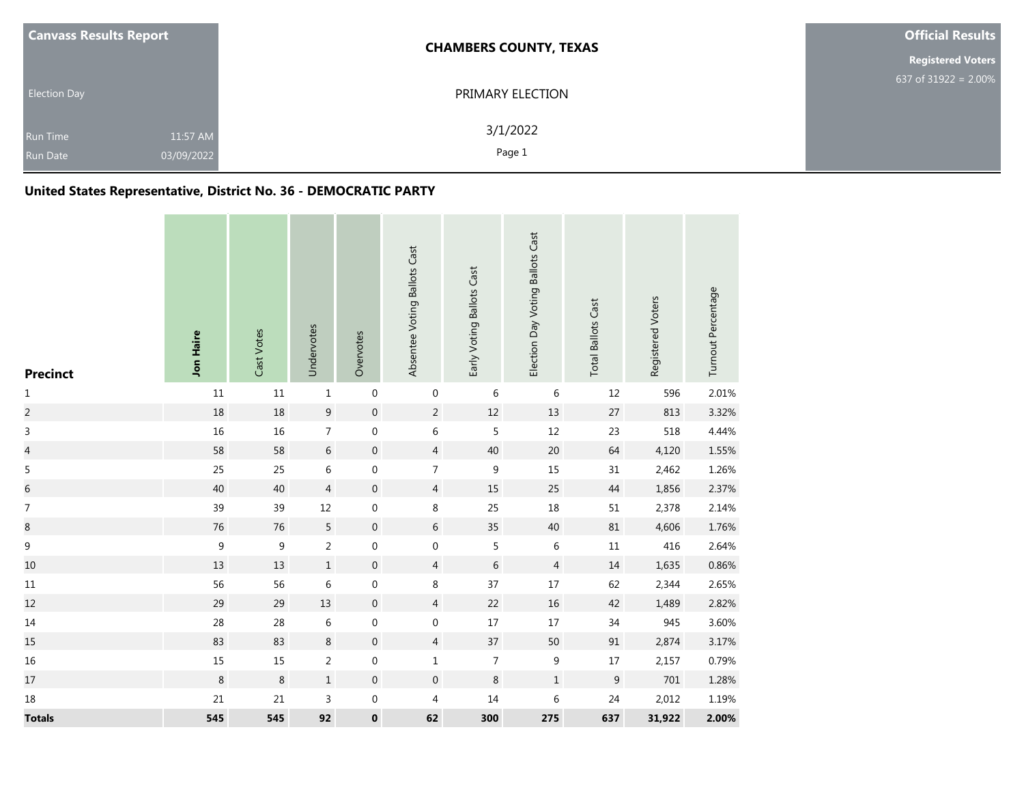| <b>Canvass Results Report</b>      |                        | <b>CHAMBERS COUNTY, TEXAS</b> | <b>Official Results</b>  |
|------------------------------------|------------------------|-------------------------------|--------------------------|
|                                    |                        |                               | <b>Registered Voters</b> |
| <b>Election Day</b>                |                        | PRIMARY ELECTION              | 637 of 31922 = $2.00\%$  |
| <b>Run Time</b><br><b>Run Date</b> | 11:57 AM<br>03/09/2022 | 3/1/2022<br>Page 1            |                          |

# **United States Representative, District No. 36 - DEMOCRATIC PARTY**

| <b>Precinct</b>          | Jon Haire        | Cast Votes | Undervotes       | Overvotes        | Absentee Voting Ballots Cast | Early Voting Ballots Cast | Election Day Voting Ballots Cast | <b>Total Ballots Cast</b> | Registered Voters | Turnout Percentage |
|--------------------------|------------------|------------|------------------|------------------|------------------------------|---------------------------|----------------------------------|---------------------------|-------------------|--------------------|
| $\mathbf{1}$             | $11\,$           | 11         | $\mathbf{1}$     | $\boldsymbol{0}$ | $\mathbf 0$                  | 6                         | 6                                | 12                        | 596               | 2.01%              |
| $\overline{c}$           | 18               | 18         | $\boldsymbol{9}$ | $\mathbf 0$      | $\overline{2}$               | $12\,$                    | $13\,$                           | $27\,$                    | 813               | 3.32%              |
| $\mathsf 3$              | 16               | 16         | $\boldsymbol{7}$ | $\boldsymbol{0}$ | 6                            | 5                         | 12                               | 23                        | 518               | 4.44%              |
| $\overline{\mathcal{L}}$ | 58               | 58         | 6                | $\mathbf 0$      | $\overline{4}$               | 40                        | $20\,$                           | 64                        | 4,120             | 1.55%              |
| $\sf 5$                  | 25               | 25         | 6                | $\boldsymbol{0}$ | $\overline{7}$               | 9                         | $15\,$                           | 31                        | 2,462             | 1.26%              |
| $\overline{6}$           | 40               | 40         | $\overline{4}$   | $\boldsymbol{0}$ | $\overline{4}$               | 15                        | 25                               | $44\,$                    | 1,856             | 2.37%              |
| $\boldsymbol{7}$         | 39               | 39         | 12               | $\boldsymbol{0}$ | $\,8\,$                      | 25                        | 18                               | 51                        | 2,378             | 2.14%              |
| $\bf 8$                  | 76               | 76         | 5                | $\mathbf 0$      | 6                            | 35                        | 40                               | 81                        | 4,606             | 1.76%              |
| $\boldsymbol{9}$         | $\boldsymbol{9}$ | 9          | $\overline{2}$   | $\boldsymbol{0}$ | $\mathbf 0$                  | 5                         | 6                                | $11\,$                    | 416               | 2.64%              |
| 10                       | 13               | 13         | $1\,$            | $\boldsymbol{0}$ | $\overline{4}$               | 6                         | $\overline{4}$                   | 14                        | 1,635             | 0.86%              |
| $11\,$                   | 56               | 56         | $\,6\,$          | $\boldsymbol{0}$ | 8                            | 37                        | $17\,$                           | 62                        | 2,344             | 2.65%              |
| 12                       | 29               | 29         | 13               | $\boldsymbol{0}$ | $\overline{4}$               | 22                        | 16                               | 42                        | 1,489             | 2.82%              |
| $14\,$                   | 28               | 28         | $\,$ 6 $\,$      | $\boldsymbol{0}$ | 0                            | $17\,$                    | $17\,$                           | 34                        | 945               | 3.60%              |
| 15                       | 83               | 83         | $\,8\,$          | $\boldsymbol{0}$ | $\overline{4}$               | 37                        | 50                               | 91                        | 2,874             | 3.17%              |
| 16                       | $15\,$           | 15         | $\sqrt{2}$       | $\boldsymbol{0}$ | $\mathbf{1}$                 | $\overline{7}$            | $\boldsymbol{9}$                 | 17                        | 2,157             | 0.79%              |
| $17\,$                   | $\,8\,$          | $\,8\,$    | $\mathbf 1$      | $\mathbf 0$      | $\boldsymbol{0}$             | $\,8\,$                   | $\mathbf 1$                      | $\boldsymbol{9}$          | 701               | 1.28%              |
| 18                       | 21               | 21         | 3                | $\boldsymbol{0}$ | 4                            | 14                        | 6                                | 24                        | 2,012             | 1.19%              |
| <b>Totals</b>            | 545              | 545        | 92               | $\pmb{0}$        | 62                           | 300                       | 275                              | 637                       | 31,922            | 2.00%              |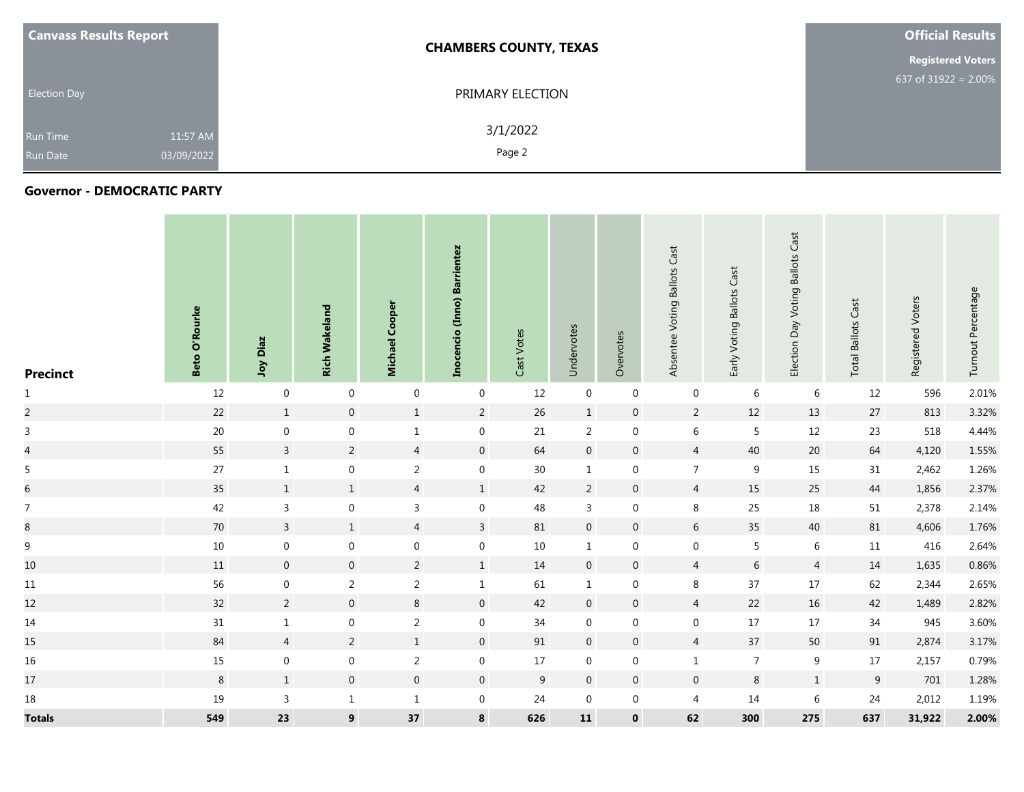| <b>Canvass Results Report</b> |                        | <b>CHAMBERS COUNTY, TEXAS</b> | <b>Official Results</b>  |  |  |  |
|-------------------------------|------------------------|-------------------------------|--------------------------|--|--|--|
|                               |                        |                               | <b>Registered Voters</b> |  |  |  |
| <b>Election Day</b>           |                        | PRIMARY ELECTION              | 637 of 31922 = $2.00\%$  |  |  |  |
| <b>Run Time</b><br>Run Date   | 11:57 AM<br>03/09/2022 | 3/1/2022<br>Page 2            |                          |  |  |  |

#### **Governor - DEMOCRATIC PARTY**

| <b>Precinct</b>  | <b>Beto O'Rourke</b> | Diaz<br>Yor      | <b>Rich Wakeland</b> | Cooper<br>Michael | (Inno) Barrientez<br>Inocencio | Cast Votes | Undervotes       | Overvotes      | Absentee Voting Ballots Cast | Cast<br>Early Voting Ballots | Election Day Voting Ballots Cast | Cast<br><b>Total Ballots</b> | Registered Voters | Turnout Percentage |
|------------------|----------------------|------------------|----------------------|-------------------|--------------------------------|------------|------------------|----------------|------------------------------|------------------------------|----------------------------------|------------------------------|-------------------|--------------------|
| $\mathbf{1}$     | 12                   | $\mathbf 0$      | $\mathbf 0$          | $\mathbf 0$       | $\mathbf 0$                    | 12         | $\boldsymbol{0}$ | $\mathbf 0$    | $\mathbf 0$                  | 6                            | 6                                | 12                           | 596               | 2.01%              |
| $\overline{a}$   | 22                   | $\mathbf 1$      | $\mathsf{O}\xspace$  | $1\,$             | $\overline{2}$                 | 26         | $\mathbf{1}$     | $\mathbf 0$    | $\overline{2}$               | $12\,$                       | 13                               | 27                           | 813               | 3.32%              |
| $\mathsf{3}$     | $20\,$               | $\boldsymbol{0}$ | $\mathbf 0$          | $\,1\,$           | $\boldsymbol{0}$               | 21         | $\overline{2}$   | $\mathbf 0$    | $\,$ 6 $\,$                  | $\overline{5}$               | 12                               | 23                           | 518               | 4.44%              |
| $\overline{a}$   | 55                   | $\mathbf{3}$     | $\overline{2}$       | $\overline{4}$    | $\overline{0}$                 | 64         | $\mathbf 0$      | $\overline{0}$ | $\overline{4}$               | 40                           | 20                               | 64                           | 4,120             | 1.55%              |
| 5                | $27\,$               | $\mathbf{1}$     | $\mathbf 0$          | $\overline{2}$    | $\mathbf 0$                    | $30\,$     | $\mathbf{1}$     | $\mathbf 0$    | $\overline{7}$               | 9                            | 15                               | 31                           | 2,462             | 1.26%              |
| $\sqrt{6}$       | 35                   | $1\,$            | $1\,$                | $\overline{4}$    | $\,1\,$                        | 42         | $\overline{2}$   | $\mathbf 0$    | $\overline{4}$               | 15                           | 25                               | 44                           | 1,856             | 2.37%              |
| $\overline{7}$   | 42                   | $\mathsf{3}$     | $\mathbf 0$          | $\mathsf{3}$      | $\mathbf 0$                    | 48         | 3                | $\mathbf 0$    | 8                            | 25                           | 18                               | 51                           | 2,378             | 2.14%              |
| $\bf 8$          | 70                   | $\mathbf{3}$     | $\mathbf{1}$         | $\overline{4}$    | $\mathbf{3}$                   | 81         | $\mathbf 0$      | $\mathbf 0$    | $6\,$                        | 35                           | 40                               | 81                           | 4,606             | 1.76%              |
| $\boldsymbol{9}$ | 10                   | $\mathbf 0$      | $\mathbf 0$          | $\mathbf 0$       | $\mathbf 0$                    | 10         | $\mathbf{1}$     | $\mathbf 0$    | $\mathbf 0$                  | 5                            | 6                                | 11                           | 416               | 2.64%              |
| $10\,$           | 11                   | $\boldsymbol{0}$ | $\boldsymbol{0}$     | $\overline{2}$    | $\mathbf{1}$                   | 14         | $\boldsymbol{0}$ | $\mathbf 0$    | $\sqrt{4}$                   | $\sqrt{6}$                   | $\overline{4}$                   | 14                           | 1,635             | 0.86%              |
| $11\,$           | 56                   | $\boldsymbol{0}$ | $\overline{2}$       | $\overline{2}$    | $\mathbf{1}$                   | 61         | $\mathbf{1}$     | $\mathbf 0$    | $\,8\,$                      | $37\,$                       | 17                               | 62                           | 2,344             | 2.65%              |
| 12               | 32                   | $\overline{2}$   | $\mathbf 0$          | $\,8\,$           | $\overline{0}$                 | 42         | $\mathbf{0}$     | $\overline{0}$ | $\overline{4}$               | 22                           | 16                               | 42                           | 1,489             | 2.82%              |
| 14               | 31                   | $\mathbf{1}$     | $\mathbf 0$          | $\overline{2}$    | $\mathbf 0$                    | 34         | $\boldsymbol{0}$ | $\mathbf 0$    | $\mathbf 0$                  | 17                           | 17                               | 34                           | 945               | 3.60%              |
| 15               | 84                   | $\overline{4}$   | $\overline{2}$       | $\mathbf{1}$      | $\mathbf 0$                    | 91         | $\mathbf 0$      | $\overline{0}$ | $\overline{4}$               | $37$                         | 50                               | 91                           | 2,874             | 3.17%              |
| $16\,$           | 15                   | $\boldsymbol{0}$ | $\boldsymbol{0}$     | $\overline{2}$    | $\mathbf 0$                    | 17         | 0                | 0              | $\mathbf{1}$                 | $\overline{7}$               | 9                                | 17                           | 2,157             | 0.79%              |
| 17               | $\,8\,$              | $1\,$            | $\mathbf 0$          | $\overline{0}$    | $\overline{0}$                 | 9          | $\mathbf{0}$     | $\mathbf 0$    | $\boldsymbol{0}$             | $\,8\,$                      | $\mathbf{1}$                     | 9                            | 701               | 1.28%              |
| $18\,$           | 19                   | $\mathsf{3}$     | $\mathbf{1}$         | $\mathbf{1}$      | $\mathbf 0$                    | 24         | $\mathbf 0$      | $\mathbf 0$    | $\overline{a}$               | 14                           | 6                                | 24                           | 2,012             | 1.19%              |
| <b>Totals</b>    | 549                  | 23               | $\boldsymbol{9}$     | 37                | $\bf 8$                        | 626        | ${\bf 11}$       | $\mathbf 0$    | 62                           | 300                          | 275                              | 637                          | 31,922            | 2.00%              |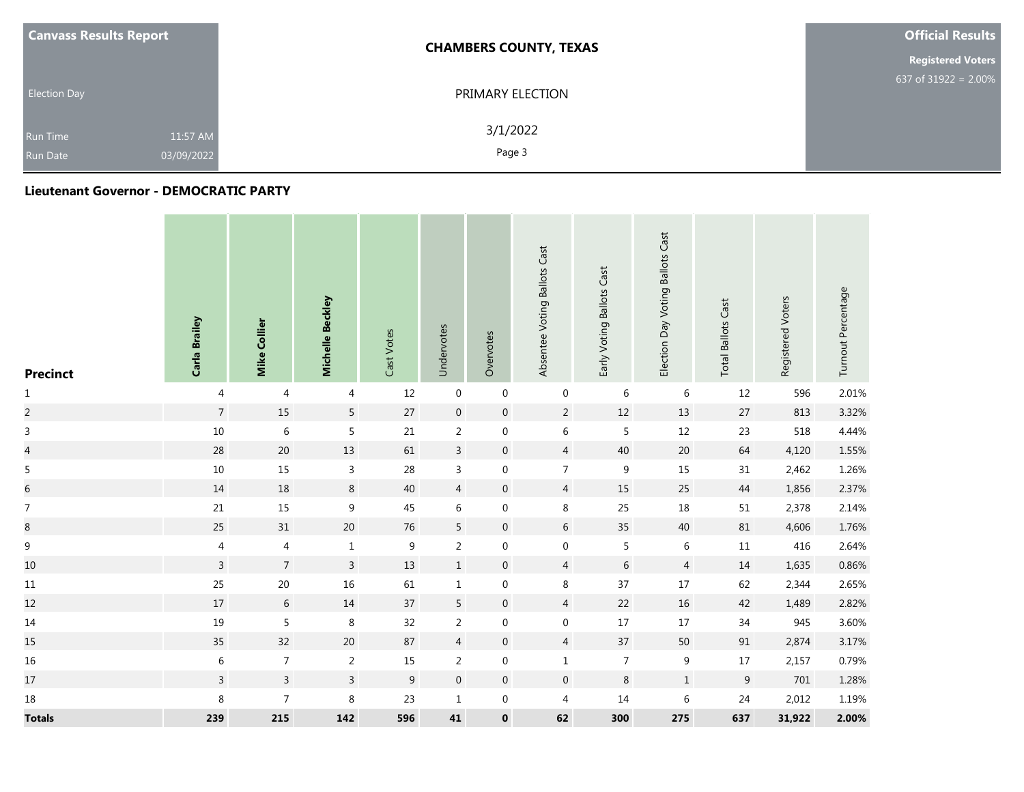| <b>Canvass Results Report</b>      |                        | <b>CHAMBERS COUNTY, TEXAS</b> | <b>Official Results</b>  |
|------------------------------------|------------------------|-------------------------------|--------------------------|
|                                    |                        |                               | <b>Registered Voters</b> |
| <b>Election Day</b>                |                        | PRIMARY ELECTION              | 637 of 31922 = $2.00\%$  |
| <b>Run Time</b><br><b>Run Date</b> | 11:57 AM<br>03/09/2022 | 3/1/2022<br>Page 3            |                          |

#### **Lieutenant Governor - DEMOCRATIC PARTY**

| <b>Precinct</b>  | Carla Brailey  | Mike Collier   | Michelle Beckley | Cast Votes       | Undervotes       | Overvotes        | Absentee Voting Ballots Cast | Early Voting Ballots Cast | Election Day Voting Ballots Cast | <b>Total Ballots Cast</b> | Registered Voters | Turnout Percentage |
|------------------|----------------|----------------|------------------|------------------|------------------|------------------|------------------------------|---------------------------|----------------------------------|---------------------------|-------------------|--------------------|
| $\mathbf 1$      | 4              | $\overline{4}$ | 4                | 12               | $\pmb{0}$        | $\boldsymbol{0}$ | $\boldsymbol{0}$             | 6                         | 6                                | 12                        | 596               | 2.01%              |
| $\overline{c}$   | $\sqrt{ }$     | 15             | $5\phantom{.0}$  | $27\,$           | $\boldsymbol{0}$ | $\mathbf 0$      | $\overline{2}$               | $12\,$                    | 13                               | $27\,$                    | 813               | 3.32%              |
| $\mathsf{3}$     | $10\,$         | $\,$ 6 $\,$    | 5                | $21\,$           | $\overline{2}$   | $\mathbf 0$      | $\,$ 6 $\,$                  | 5                         | $12$                             | 23                        | 518               | 4.44%              |
| $\overline{a}$   | 28             | $20\,$         | 13               | 61               | $\mathbf{3}$     | $\mathbf 0$      | $\overline{4}$               | $40\,$                    | $20\,$                           | 64                        | 4,120             | 1.55%              |
| 5                | $10\,$         | $15\,$         | $\mathbf{3}$     | 28               | $\mathsf{3}$     | $\boldsymbol{0}$ | $\overline{7}$               | $\boldsymbol{9}$          | 15                               | $31\,$                    | 2,462             | 1.26%              |
| $\sqrt{6}$       | 14             | $18\,$         | $\bf 8$          | $40\,$           | $\overline{4}$   | $\mathbf 0$      | $\overline{4}$               | $15\,$                    | 25                               | $44\,$                    | 1,856             | 2.37%              |
| $\overline{7}$   | 21             | $15\,$         | $\boldsymbol{9}$ | $45\,$           | $\,$ 6 $\,$      | $\boldsymbol{0}$ | $\,8\,$                      | 25                        | 18                               | 51                        | 2,378             | 2.14%              |
| $\boldsymbol{8}$ | 25             | $31\,$         | $20\,$           | $76\,$           | $5\phantom{a}$   | $\boldsymbol{0}$ | $6\,$                        | 35                        | $40\,$                           | $81\,$                    | 4,606             | 1.76%              |
| $\boldsymbol{9}$ | 4              | $\overline{4}$ | $\mathbf{1}$     | $\boldsymbol{9}$ | $\overline{2}$   | $\boldsymbol{0}$ | $\boldsymbol{0}$             | $\overline{5}$            | $\,6\,$                          | $11\,$                    | 416               | 2.64%              |
| $10\,$           | $\mathsf{3}$   | $\overline{7}$ | $\mathsf{3}$     | $13\,$           | $\,1$            | $\mathbf 0$      | $\overline{4}$               | $\sqrt{6}$                | $\overline{4}$                   | $14\,$                    | 1,635             | 0.86%              |
| $11\,$           | 25             | $20\,$         | 16               | 61               | $\mathbf 1$      | $\boldsymbol{0}$ | $\,8\,$                      | 37                        | $17\,$                           | 62                        | 2,344             | 2.65%              |
| 12               | $17\,$         | $\sqrt{6}$     | $14\,$           | $37\,$           | $5\phantom{a}$   | $\mathbf 0$      | $\overline{4}$               | $22\,$                    | $16\,$                           | 42                        | 1,489             | 2.82%              |
| $14\,$           | 19             | 5              | $\,8\,$          | 32               | $\overline{2}$   | $\boldsymbol{0}$ | $\boldsymbol{0}$             | $17\,$                    | $17$                             | 34                        | 945               | 3.60%              |
| 15               | 35             | 32             | $20\,$           | $87\,$           | $\overline{4}$   | $\mathbf 0$      | $\overline{4}$               | $37\,$                    | 50                               | $91\,$                    | 2,874             | 3.17%              |
| 16               | $\,$ 6 $\,$    | $\overline{7}$ | $\overline{2}$   | $15\,$           | $\overline{2}$   | $\boldsymbol{0}$ | $\mathbf 1$                  | $\overline{7}$            | $\boldsymbol{9}$                 | $17\,$                    | 2,157             | 0.79%              |
| $17\,$           | $\overline{3}$ | $\overline{3}$ | $\mathbf{3}$     | $\boldsymbol{9}$ | $\mathbf 0$      | $\boldsymbol{0}$ | $\boldsymbol{0}$             | $\,8\,$                   | $\,1\,$                          | $9$                       | 701               | 1.28%              |
| $18\,$           | 8              | $\overline{7}$ | 8                | 23               | $\mathbf{1}$     | $\boldsymbol{0}$ | $\overline{4}$               | 14                        | 6                                | 24                        | 2,012             | 1.19%              |
| <b>Totals</b>    | 239            | 215            | 142              | 596              | 41               | $\pmb{0}$        | 62                           | 300                       | 275                              | 637                       | 31,922            | 2.00%              |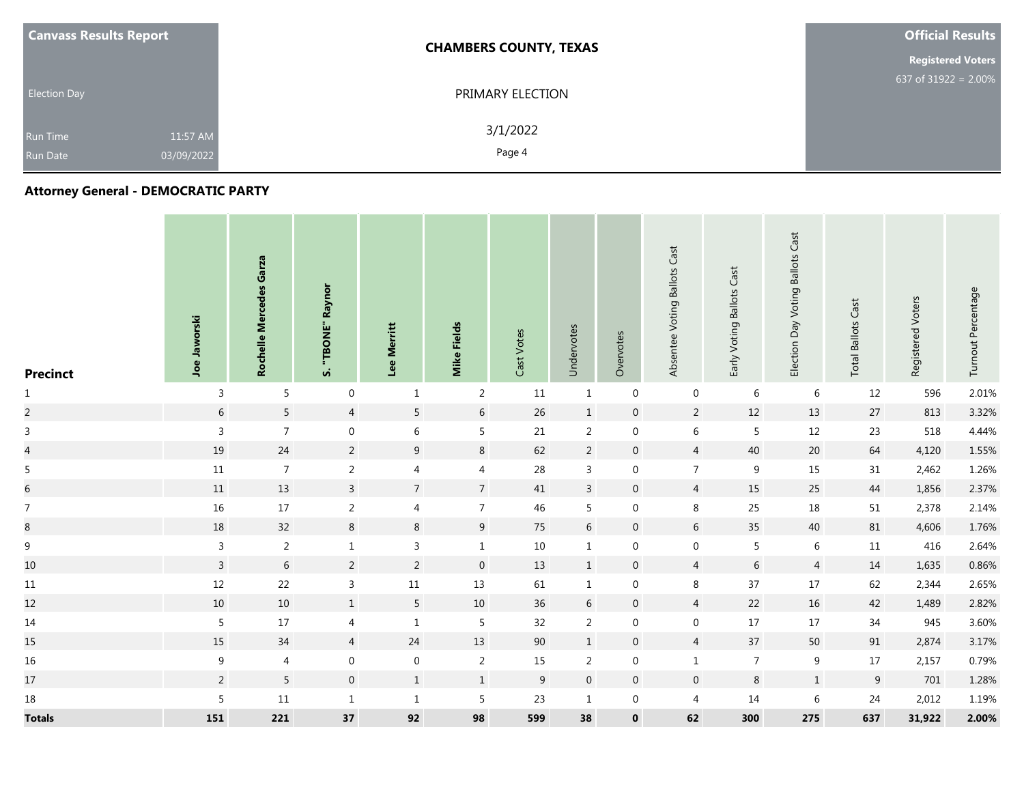| <b>Canvass Results Report</b> |          | <b>CHAMBERS COUNTY, TEXAS</b> | <b>Official Results</b>  |
|-------------------------------|----------|-------------------------------|--------------------------|
|                               |          |                               | <b>Registered Voters</b> |
| <b>Election Day</b>           |          | PRIMARY ELECTION              | 637 of $31922 = 2.00\%$  |
| <b>Run Time</b>               | 11:57 AM | 3/1/2022                      |                          |
| 03/09/2022<br><b>Run Date</b> |          | Page 4                        |                          |

# **Attorney General - DEMOCRATIC PARTY**

| <b>Precinct</b>  | Joe Jaworski   | Garza<br><b>Mercedes</b><br>Rochelle | Raynor<br>"TBONE"<br>n. | Merritt<br>Lee   | Mike Fields     | Cast Votes       | Undervotes     | Overvotes   | Absentee Voting Ballots Cast | <b>Ballots Cast</b><br>Early Voting | <b>Ballots Cast</b><br>Election Day Voting | Cast<br><b>Total Ballots</b> | Registered Voters | Turnout Percentage |
|------------------|----------------|--------------------------------------|-------------------------|------------------|-----------------|------------------|----------------|-------------|------------------------------|-------------------------------------|--------------------------------------------|------------------------------|-------------------|--------------------|
| $\mathbf{1}$     | 3              | 5                                    | $\mathbf 0$             | $\mathbf{1}$     | $\overline{2}$  | 11               | $\mathbf{1}$   | $\mathbf 0$ | $\mathbf 0$                  | 6                                   | 6                                          | 12                           | 596               | 2.01%              |
| $\overline{a}$   | $6\,$          | $5\phantom{a}$                       | $\overline{4}$          | $\overline{5}$   | $6\,$           | 26               | $\mathbf{1}$   | $\mathbf 0$ | $\overline{2}$               | 12                                  | 13                                         | 27                           | 813               | 3.32%              |
| $\mathsf{3}$     | $\mathbf{3}$   | $\overline{7}$                       | $\boldsymbol{0}$        | $6\,$            | 5               | 21               | $\overline{2}$ | $\mathbf 0$ | $\,6\,$                      | 5                                   | 12                                         | 23                           | 518               | 4.44%              |
| $\overline{4}$   | $19\,$         | 24                                   | $\overline{2}$          | $\boldsymbol{9}$ | $\,8\,$         | 62               | $\overline{2}$ | $\mathbf 0$ | $\overline{4}$               | 40                                  | 20                                         | 64                           | 4,120             | 1.55%              |
| 5                | $11\,$         | $\overline{7}$                       | $\overline{2}$          | $\overline{4}$   | $\overline{4}$  | 28               | 3              | $\mathbf 0$ | $\overline{7}$               | 9                                   | 15                                         | 31                           | 2,462             | 1.26%              |
| $\boldsymbol{6}$ | $11\,$         | 13                                   | $\overline{3}$          | $\overline{7}$   | $\overline{7}$  | 41               | $\overline{3}$ | $\mathbf 0$ | $\overline{4}$               | 15                                  | 25                                         | 44                           | 1,856             | 2.37%              |
| $\overline{7}$   | 16             | $17\,$                               | $\overline{2}$          | $\overline{4}$   | $\overline{7}$  | 46               | 5              | $\mathbf 0$ | $\,8\,$                      | 25                                  | 18                                         | 51                           | 2,378             | 2.14%              |
| $\bf{8}$         | 18             | 32                                   | $8\phantom{1}$          | $\,8\,$          | 9               | 75               | $6\,$          | $\mathbf 0$ | 6                            | 35                                  | 40                                         | 81                           | 4,606             | 1.76%              |
| $\overline{9}$   | $\overline{3}$ | $\overline{2}$                       | $\mathbf{1}$            | $\mathbf{3}$     | $\mathbf{1}$    | 10               | $\mathbf{1}$   | $\mathbf 0$ | $\mathbf 0$                  | 5                                   | 6                                          | 11                           | 416               | 2.64%              |
| $10\,$           | $\overline{3}$ | 6                                    | $\overline{2}$          | $\overline{2}$   | $\mathbf 0$     | 13               | $\mathbf{1}$   | $\mathbf 0$ | $\overline{4}$               | 6                                   | $\overline{4}$                             | 14                           | 1,635             | 0.86%              |
| 11               | $12\,$         | 22                                   | $\mathsf{3}$            | $11\,$           | 13              | 61               | $\mathbf{1}$   | $\mathbf 0$ | 8                            | 37                                  | 17                                         | 62                           | 2,344             | 2.65%              |
| 12               | 10             | 10                                   | $1\,$                   | $5\overline{)}$  | 10              | 36               | $6\,$          | $\mathbf 0$ | $\overline{4}$               | 22                                  | 16                                         | 42                           | 1,489             | 2.82%              |
| 14               | $\sqrt{5}$     | $17\,$                               | $\overline{4}$          | $1\,$            | $\overline{5}$  | 32               | $\overline{2}$ | $\mathbf 0$ | $\mathbf 0$                  | 17                                  | 17                                         | 34                           | 945               | 3.60%              |
| 15               | 15             | 34                                   | $\overline{4}$          | 24               | 13              | 90               | $\mathbf{1}$   | $\mathbf 0$ | $\overline{4}$               | 37                                  | 50                                         | 91                           | 2,874             | 3.17%              |
| 16               | 9              | $\overline{4}$                       | $\boldsymbol{0}$        | $\boldsymbol{0}$ | $\overline{2}$  | 15               | $\overline{2}$ | $\mathbf 0$ | $1\,$                        | $\overline{7}$                      | 9                                          | 17                           | 2,157             | 0.79%              |
| $17\,$           | $\overline{2}$ | $5\phantom{.0}$                      | $\mathbf 0$             | $\,1\,$          | $\mathbf 1$     | $\boldsymbol{9}$ | $\mathbf 0$    | $\mathbf 0$ | $\mathsf{O}\xspace$          | $\,8\,$                             | $1\,$                                      | $\,9$                        | 701               | 1.28%              |
| 18               | 5              | $11\,$                               | $\mathbf{1}$            | $\mathbf{1}$     | $5\phantom{.0}$ | 23               | $\mathbf{1}$   | $\mathbf 0$ | $\overline{4}$               | 14                                  | 6                                          | 24                           | 2,012             | 1.19%              |
| <b>Totals</b>    | 151            | 221                                  | 37                      | 92               | 98              | 599              | 38             | $\mathbf 0$ | 62                           | 300                                 | 275                                        | 637                          | 31,922            | 2.00%              |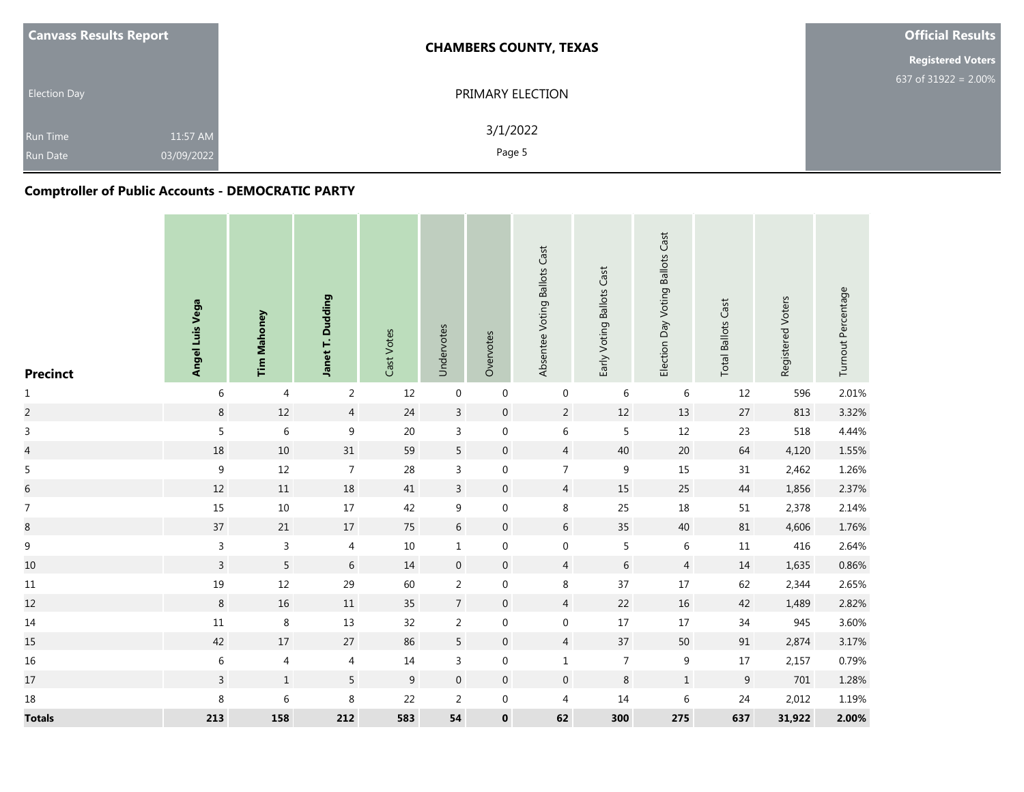| <b>Canvass Results Report</b> |            | <b>CHAMBERS COUNTY, TEXAS</b> | <b>Official Results</b>  |
|-------------------------------|------------|-------------------------------|--------------------------|
|                               |            |                               | <b>Registered Voters</b> |
| <b>Election Day</b>           |            | PRIMARY ELECTION              | 637 of $31922 = 2.00\%$  |
| <b>Run Time</b>               | 11:57 AM   | 3/1/2022                      |                          |
| <b>Run Date</b>               | 03/09/2022 | Page 5                        |                          |

## **Comptroller of Public Accounts - DEMOCRATIC PARTY**

| <b>Precinct</b>  | Angel Luis Vega | <b>Tim Mahoney</b> | Janet T. Dudding | Cast Votes       | Undervotes       | Overvotes        | Absentee Voting Ballots Cast | Early Voting Ballots Cast | Election Day Voting Ballots Cast | <b>Total Ballots Cast</b> | Registered Voters | Turnout Percentage |
|------------------|-----------------|--------------------|------------------|------------------|------------------|------------------|------------------------------|---------------------------|----------------------------------|---------------------------|-------------------|--------------------|
| $\mathbf{1}$     | $\,6\,$         | $\overline{4}$     | $\overline{2}$   | 12               | $\boldsymbol{0}$ | $\boldsymbol{0}$ | $\mathbf 0$                  | $\,6\,$                   | $\,6\,$                          | 12                        | 596               | 2.01%              |
| $\overline{c}$   | $\,8\,$         | $12\,$             | $\overline{4}$   | $24\,$           | $\overline{3}$   | $\boldsymbol{0}$ | $\sqrt{2}$                   | $12\,$                    | $13\,$                           | $27\,$                    | 813               | 3.32%              |
| $\mathsf{3}$     | 5               | $\,$ 6 $\,$        | $\boldsymbol{9}$ | $20\,$           | $\mathsf{3}$     | $\boldsymbol{0}$ | $\,$ 6 $\,$                  | 5                         | $12\,$                           | 23                        | 518               | 4.44%              |
| $\overline{4}$   | $18\,$          | $10\,$             | 31               | 59               | $5\phantom{.0}$  | $\mathbf 0$      | $\overline{4}$               | $40\,$                    | $20\,$                           | 64                        | 4,120             | 1.55%              |
| 5                | $\mathsf g$     | $12\,$             | $\overline{7}$   | $28\,$           | $\mathsf{3}$     | $\boldsymbol{0}$ | $\overline{7}$               | $\boldsymbol{9}$          | 15                               | 31                        | 2,462             | 1.26%              |
| $\overline{6}$   | $12$            | $11\,$             | $18\,$           | 41               | $\mathbf{3}$     | $\boldsymbol{0}$ | $\sqrt{4}$                   | 15                        | $25\,$                           | 44                        | 1,856             | 2.37%              |
| $\boldsymbol{7}$ | $15\,$          | $10\,$             | $17\,$           | 42               | $\boldsymbol{9}$ | $\boldsymbol{0}$ | $\,8\,$                      | 25                        | $18\,$                           | $51\,$                    | 2,378             | 2.14%              |
| $\overline{8}$   | 37              | 21                 | $17\,$           | $75\,$           | $\,$ 6 $\,$      | $\boldsymbol{0}$ | $\,$ 6 $\,$                  | 35                        | $40\,$                           | $81\,$                    | 4,606             | 1.76%              |
| $\boldsymbol{9}$ | $\mathsf{3}$    | $\mathsf{3}$       | 4                | $10\,$           | $\mathbf 1$      | $\boldsymbol{0}$ | $\boldsymbol{0}$             | 5                         | $\,6\,$                          | $11\,$                    | 416               | 2.64%              |
| 10               | $\overline{3}$  | 5                  | 6                | $14\,$           | $\boldsymbol{0}$ | $\mathbf 0$      | 4                            | $\,$ 6 $\,$               | $\overline{4}$                   | 14                        | 1,635             | 0.86%              |
| $11\,$           | 19              | $12\,$             | 29               | 60               | $\overline{2}$   | $\boldsymbol{0}$ | 8                            | 37                        | $17\,$                           | 62                        | 2,344             | 2.65%              |
| 12               | 8               | $16\,$             | $11\,$           | $35\,$           | $\overline{7}$   | $\mathbf 0$      | $\overline{4}$               | $22\,$                    | $16\,$                           | 42                        | 1,489             | 2.82%              |
| $14\,$           | $11\,$          | $\,8\,$            | $13\,$           | 32               | $\overline{2}$   | $\boldsymbol{0}$ | $\boldsymbol{0}$             | $17\,$                    | $17\,$                           | $34\,$                    | 945               | 3.60%              |
| 15               | 42              | $17\,$             | $27\,$           | 86               | $5\phantom{a}$   | $\mathbf 0$      | $\overline{4}$               | 37                        | $50\,$                           | $91\,$                    | 2,874             | 3.17%              |
| 16               | $\,$ 6 $\,$     | $\overline{4}$     | $\overline{4}$   | $14\,$           | $\mathbf{3}$     | $\boldsymbol{0}$ | $\mathbf 1$                  | $\overline{7}$            | $\boldsymbol{9}$                 | $17\,$                    | 2,157             | 0.79%              |
| $17\,$           | $\overline{3}$  | $\,1$              | 5                | $\boldsymbol{9}$ | $\mathbf 0$      | $\boldsymbol{0}$ | $\boldsymbol{0}$             | $\,8\,$                   | $\mathbf 1$                      | $\boldsymbol{9}$          | 701               | 1.28%              |
| $18\,$           | $\,8\,$         | $\,6\,$            | 8                | 22               | $\overline{2}$   | $\pmb{0}$        | $\overline{4}$               | $14\,$                    | $\,6\,$                          | 24                        | 2,012             | 1.19%              |
| <b>Totals</b>    | 213             | 158                | 212              | 583              | 54               | $\pmb{0}$        | 62                           | 300                       | 275                              | 637                       | 31,922            | 2.00%              |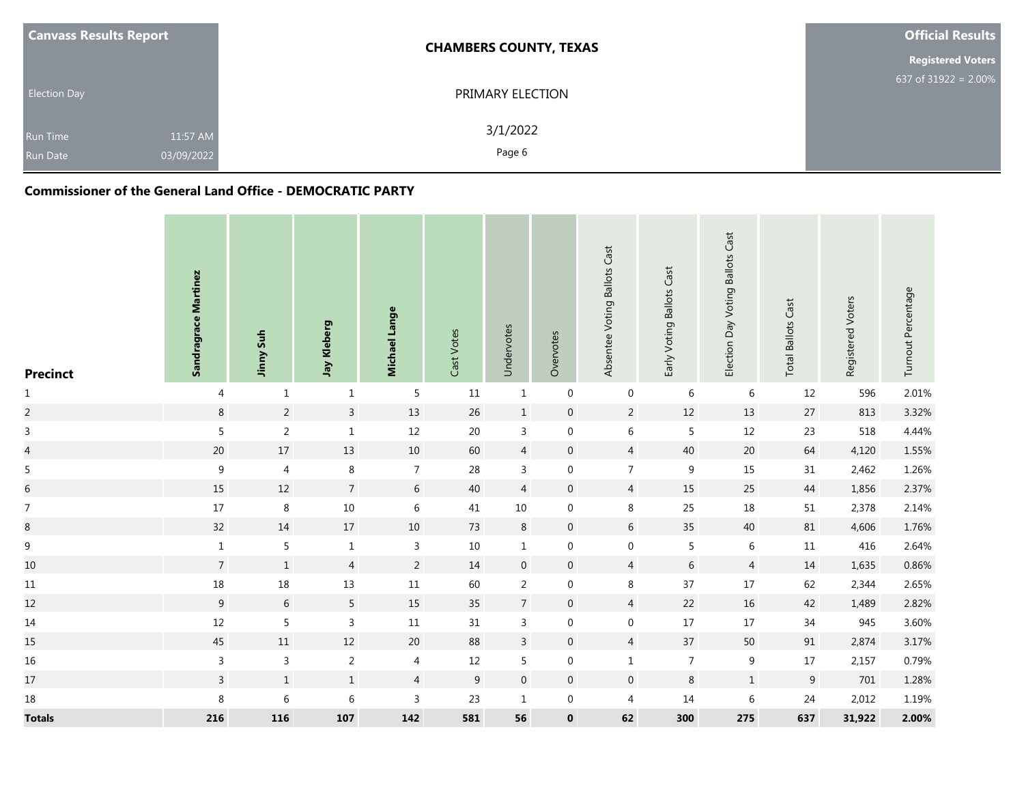| <b>Canvass Results Report</b>                                | <b>CHAMBERS COUNTY, TEXAS</b> | <b>Official Results</b>  |
|--------------------------------------------------------------|-------------------------------|--------------------------|
|                                                              |                               | <b>Registered Voters</b> |
| <b>Election Day</b>                                          | PRIMARY ELECTION              | 637 of 31922 = 2.00%     |
| 11:57 AM<br><b>Run Time</b><br>03/09/2022<br><b>Run Date</b> | 3/1/2022<br>Page 6            |                          |

#### **Commissioner of the General Land Office - DEMOCRATIC PARTY**

| <b>Precinct</b> | Sandragrace Martinez | <b>Jinny Suh</b> | Jay Kleberg     | Michael Lange  | Cast Votes       | Undervotes       | Overvotes        | Absentee Voting Ballots Cast | Early Voting Ballots Cast | Election Day Voting Ballots Cast | <b>Total Ballots Cast</b> | Registered Voters | Turnout Percentage |
|-----------------|----------------------|------------------|-----------------|----------------|------------------|------------------|------------------|------------------------------|---------------------------|----------------------------------|---------------------------|-------------------|--------------------|
| $\mathbf{1}$    | 4                    | $\mathbf{1}$     | $\mathbf{1}$    | 5              | $11\,$           | $1\,$            | $\,0\,$          | $\mathbf 0$                  | $\,6\,$                   | 6                                | 12                        | 596               | 2.01%              |
| $\overline{a}$  | $\,8\,$              | $\sqrt{2}$       | $\overline{3}$  | $13\,$         | 26               | $\mathbf{1}$     | $\boldsymbol{0}$ | $\overline{2}$               | $12\,$                    | 13                               | $27\,$                    | 813               | 3.32%              |
| $\mathsf 3$     | 5                    | $\sqrt{2}$       | $\mathbf 1$     | $12\,$         | $20\,$           | $\overline{3}$   | $\boldsymbol{0}$ | $\sqrt{6}$                   | $\sqrt{5}$                | 12                               | 23                        | 518               | 4.44%              |
| $\overline{a}$  | $20\,$               | $17\,$           | $13\,$          | $10\,$         | 60               | $\overline{4}$   | $\boldsymbol{0}$ | $\overline{4}$               | $40\,$                    | $20\,$                           | 64                        | 4,120             | 1.55%              |
| $\sqrt{5}$      | $\boldsymbol{9}$     | $\overline{4}$   | $\,8\,$         | $\overline{7}$ | 28               | 3                | $\boldsymbol{0}$ | $\overline{7}$               | $\,9$                     | 15                               | 31                        | 2,462             | 1.26%              |
| $\overline{6}$  | 15                   | $12$             | $\overline{7}$  | $\sqrt{6}$     | 40               | $\overline{4}$   | $\boldsymbol{0}$ | $\overline{4}$               | $15\,$                    | 25                               | 44                        | 1,856             | 2.37%              |
| $\overline{7}$  | $17\,$               | $\,8\,$          | $10\,$          | $\,$ 6 $\,$    | 41               | $10\,$           | $\mathbf 0$      | $\, 8$                       | 25                        | 18                               | $51\,$                    | 2,378             | 2.14%              |
| 8               | 32                   | 14               | $17\,$          | $10\,$         | 73               | $\bf 8$          | $\boldsymbol{0}$ | $6\,$                        | 35                        | 40                               | $81\,$                    | 4,606             | 1.76%              |
| $\mathsf g$     | $1\,$                | 5                | $\mathbf{1}$    | $\mathsf{3}$   | $10\,$           | $\mathbf{1}$     | $\boldsymbol{0}$ | $\boldsymbol{0}$             | $\sqrt{5}$                | $\,6\,$                          | $11\,$                    | 416               | 2.64%              |
| $10\,$          | $\overline{7}$       | $\mathbf{1}$     | $\overline{4}$  | $\overline{2}$ | 14               | $\mathbf 0$      | $\boldsymbol{0}$ | $\overline{4}$               | $\,$ 6 $\,$               | $\overline{4}$                   | 14                        | 1,635             | 0.86%              |
| $11\,$          | $18\,$               | $18\,$           | 13              | $11\,$         | 60               | $\overline{2}$   | $\boldsymbol{0}$ | 8                            | 37                        | $17\,$                           | 62                        | 2,344             | 2.65%              |
| $12\,$          | $\boldsymbol{9}$     | $\sqrt{6}$       | $5\phantom{.0}$ | $15\,$         | 35               | $7\overline{ }$  | $\boldsymbol{0}$ | $\overline{4}$               | 22                        | $16\,$                           | 42                        | 1,489             | 2.82%              |
| $14\,$          | $12\,$               | 5                | $\mathsf{3}$    | $11\,$         | $31\,$           | $\mathbf{3}$     | $\boldsymbol{0}$ | $\boldsymbol{0}$             | $17\,$                    | $17$                             | $34\,$                    | 945               | 3.60%              |
| 15              | $45\,$               | $11\,$           | $12\,$          | $20\,$         | 88               | $\mathbf{3}$     | $\boldsymbol{0}$ | $\overline{4}$               | $37$                      | 50                               | $91\,$                    | 2,874             | 3.17%              |
| $16\,$          | $\mathbf{3}$         | $\mathsf 3$      | $\overline{2}$  | $\overline{4}$ | 12               | 5                | $\boldsymbol{0}$ | $\mathbf 1$                  | $\sqrt{ }$                | $\boldsymbol{9}$                 | $17\,$                    | 2,157             | 0.79%              |
| $17\,$          | $\overline{3}$       | $\,1\,$          | $\mathbf 1$     | $\overline{4}$ | $\boldsymbol{9}$ | $\boldsymbol{0}$ | $\boldsymbol{0}$ | $\mathbf 0$                  | $\,8\,$                   | $\,1\,$                          | $\boldsymbol{9}$          | 701               | 1.28%              |
| 18              | $\,8\,$              | $\,6\,$          | $\,6\,$         | $\mathsf{3}$   | 23               | $\mathbf{1}$     | $\boldsymbol{0}$ | $\overline{4}$               | $14\,$                    | $\,$ 6 $\,$                      | 24                        | 2,012             | 1.19%              |
| <b>Totals</b>   | 216                  | 116              | ${\bf 107}$     | 142            | 581              | 56               | $\pmb{0}$        | 62                           | 300                       | 275                              | 637                       | 31,922            | 2.00%              |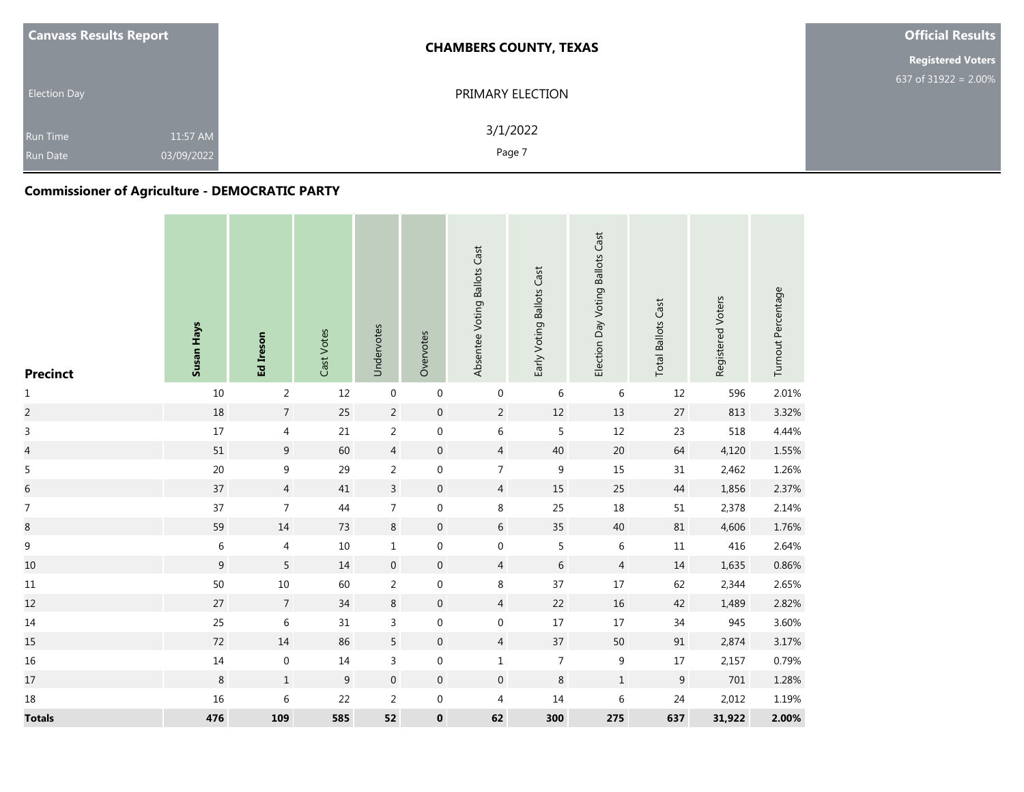| <b>Canvass Results Report</b>      |                        | <b>CHAMBERS COUNTY, TEXAS</b> | <b>Official Results</b>  |  |  |
|------------------------------------|------------------------|-------------------------------|--------------------------|--|--|
|                                    |                        |                               | <b>Registered Voters</b> |  |  |
| <b>Election Day</b>                |                        | PRIMARY ELECTION              | 637 of $31922 = 2.00\%$  |  |  |
| <b>Run Time</b><br><b>Run Date</b> | 11:57 AM<br>03/09/2022 | 3/1/2022<br>Page 7            |                          |  |  |

# **Commissioner of Agriculture - DEMOCRATIC PARTY**

| <b>Precinct</b>  | Susan Hays       | Ed Ireson        | Cast Votes | Undervotes       | Overvotes        | Absentee Voting Ballots Cast | Early Voting Ballots Cast | Election Day Voting Ballots Cast | <b>Total Ballots Cast</b> | Registered Voters | Turnout Percentage |
|------------------|------------------|------------------|------------|------------------|------------------|------------------------------|---------------------------|----------------------------------|---------------------------|-------------------|--------------------|
| $\mathbf{1}$     | $10\,$           | $\overline{2}$   | 12         | $\boldsymbol{0}$ | $\boldsymbol{0}$ | $\boldsymbol{0}$             | $\,6\,$                   | 6                                | 12                        | 596               | 2.01%              |
| $\overline{c}$   | 18               | $\overline{7}$   | 25         | $\overline{2}$   | $\pmb{0}$        | $\overline{2}$               | $12\,$                    | $13\,$                           | $27\,$                    | 813               | 3.32%              |
| $\mathsf{3}$     | $17\,$           | $\overline{4}$   | 21         | $\sqrt{2}$       | $\boldsymbol{0}$ | $\,$ 6 $\,$                  | $\overline{5}$            | 12                               | 23                        | 518               | 4.44%              |
| $\overline{a}$   | $51\,$           | 9                | 60         | $\overline{4}$   | $\boldsymbol{0}$ | $\overline{4}$               | 40                        | 20                               | 64                        | 4,120             | 1.55%              |
| 5                | $20\,$           | $\boldsymbol{9}$ | 29         | $\sqrt{2}$       | $\boldsymbol{0}$ | $\overline{7}$               | $\boldsymbol{9}$          | 15                               | $31\,$                    | 2,462             | 1.26%              |
| $\overline{6}$   | 37               | $\overline{4}$   | 41         | $\overline{3}$   | $\boldsymbol{0}$ | $\overline{4}$               | 15                        | 25                               | 44                        | 1,856             | 2.37%              |
| $\boldsymbol{7}$ | 37               | $\overline{7}$   | 44         | $\overline{7}$   | $\boldsymbol{0}$ | $\,8\,$                      | 25                        | $18\,$                           | $51\,$                    | 2,378             | 2.14%              |
| $\,8\,$          | 59               | $14\,$           | 73         | $\,8\,$          | $\boldsymbol{0}$ | $6\,$                        | 35                        | 40                               | $81\,$                    | 4,606             | 1.76%              |
| 9                | $\,6\,$          | 4                | 10         | $\mathbf 1$      | $\mathbf 0$      | $\boldsymbol{0}$             | 5                         | $\,6\,$                          | $11\,$                    | 416               | 2.64%              |
| $10\,$           | $\boldsymbol{9}$ | 5                | $14\,$     | $\boldsymbol{0}$ | $\boldsymbol{0}$ | $\overline{4}$               | $\,$ 6 $\,$               | $\overline{4}$                   | 14                        | 1,635             | 0.86%              |
| $11\,$           | 50               | $10\,$           | 60         | $\sqrt{2}$       | $\boldsymbol{0}$ | $\,8\,$                      | 37                        | $17\,$                           | 62                        | 2,344             | 2.65%              |
| $12\,$           | $27$             | $\overline{7}$   | 34         | 8                | $\mathbf 0$      | $\overline{4}$               | 22                        | 16                               | 42                        | 1,489             | 2.82%              |
| $14\,$           | 25               | $\,$ 6 $\,$      | 31         | $\mathsf 3$      | $\boldsymbol{0}$ | $\boldsymbol{0}$             | $17\,$                    | $17\,$                           | $34\,$                    | 945               | 3.60%              |
| 15               | $72\,$           | $14\,$           | 86         | $\overline{5}$   | $\mathbf 0$      | $\overline{4}$               | 37                        | 50                               | $91\,$                    | 2,874             | 3.17%              |
| $16\,$           | $14\,$           | $\boldsymbol{0}$ | 14         | $\mathsf 3$      | $\boldsymbol{0}$ | $\mathbf{1}$                 | $\boldsymbol{7}$          | 9                                | $17\,$                    | 2,157             | 0.79%              |
| $17\,$           | $\bf 8$          | $\,1$            | $9\,$      | $\boldsymbol{0}$ | $\boldsymbol{0}$ | $\boldsymbol{0}$             | $\,8\,$                   | $\,1\,$                          | $\boldsymbol{9}$          | $701\,$           | 1.28%              |
| $18\,$           | 16               | $\,6\,$          | 22         | $\overline{2}$   | $\boldsymbol{0}$ | $\overline{4}$               | 14                        | $\boldsymbol{6}$                 | 24                        | 2,012             | 1.19%              |
| <b>Totals</b>    | 476              | 109              | 585        | 52               | $\pmb{0}$        | 62                           | 300                       | 275                              | 637                       | 31,922            | 2.00%              |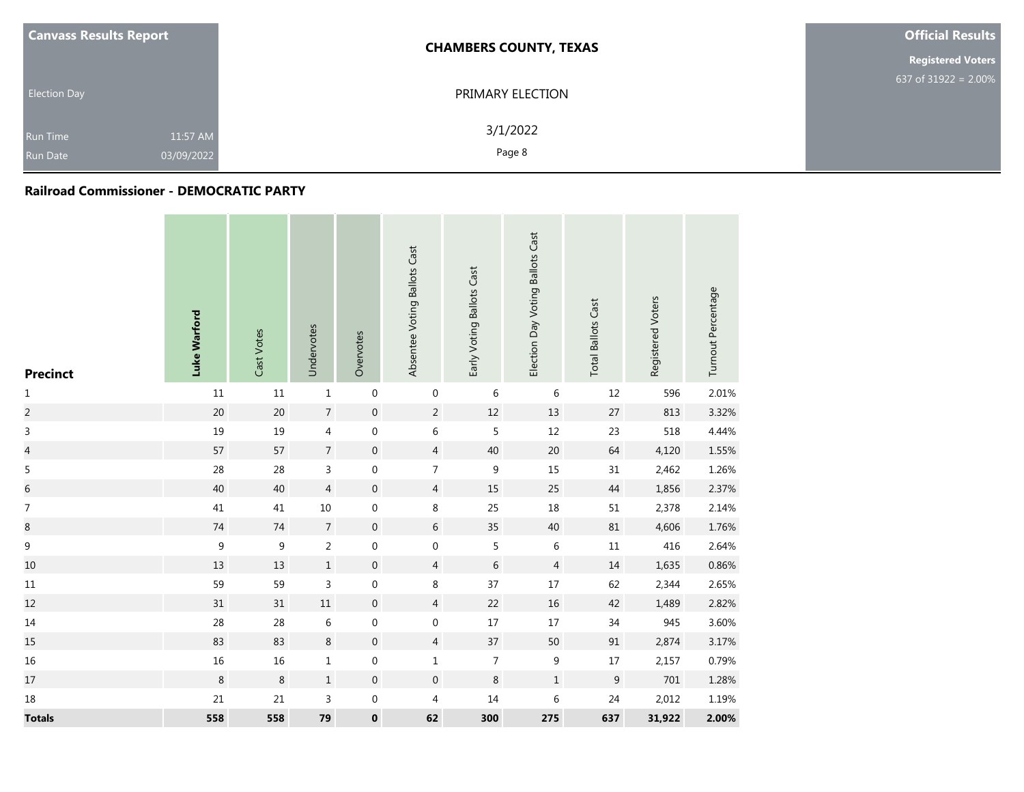| <b>Canvass Results Report</b> |            | <b>CHAMBERS COUNTY, TEXAS</b> | <b>Official Results</b>  |  |  |
|-------------------------------|------------|-------------------------------|--------------------------|--|--|
|                               |            |                               | <b>Registered Voters</b> |  |  |
|                               |            |                               | 637 of $31922 = 2.00\%$  |  |  |
| <b>Election Day</b>           |            | PRIMARY ELECTION              |                          |  |  |
|                               |            |                               |                          |  |  |
| <b>Run Time</b>               | 11:57 AM   | 3/1/2022                      |                          |  |  |
| <b>Run Date</b>               | 03/09/2022 | Page 8                        |                          |  |  |

#### **Railroad Commissioner - DEMOCRATIC PARTY**

| <b>Precinct</b>          | Luke Warford     | Cast Votes       | Undervotes     | Overvotes        | Absentee Voting Ballots Cast | Early Voting Ballots Cast | Election Day Voting Ballots Cast | <b>Total Ballots Cast</b> | Registered Voters | Turnout Percentage |
|--------------------------|------------------|------------------|----------------|------------------|------------------------------|---------------------------|----------------------------------|---------------------------|-------------------|--------------------|
| $\mathbf 1$              | $11\,$           | $11\,$           | $\,1\,$        | $\boldsymbol{0}$ | $\boldsymbol{0}$             | 6                         | 6                                | $12\,$                    | 596               | 2.01%              |
| $\overline{c}$           | 20               | 20               | $\overline{7}$ | $\boldsymbol{0}$ | $\overline{2}$               | 12                        | 13                               | $27\,$                    | 813               | 3.32%              |
| $\mathsf 3$              | 19               | 19               | 4              | $\boldsymbol{0}$ | 6                            | 5                         | $12\,$                           | 23                        | 518               | 4.44%              |
| $\overline{a}$           | 57               | 57               | $\overline{7}$ | $\boldsymbol{0}$ | $\overline{4}$               | 40                        | 20                               | 64                        | 4,120             | 1.55%              |
| $\sqrt{5}$               | 28               | 28               | 3              | $\boldsymbol{0}$ | $\overline{7}$               | $\boldsymbol{9}$          | 15                               | 31                        | 2,462             | 1.26%              |
| $\,$ 6 $\,$              | 40               | 40               | $\overline{4}$ | $\mathbf 0$      | $\overline{4}$               | 15                        | 25                               | $44\,$                    | 1,856             | 2.37%              |
| $\overline{\mathcal{I}}$ | 41               | 41               | $10\,$         | $\boldsymbol{0}$ | 8                            | 25                        | $18\,$                           | $51\,$                    | 2,378             | 2.14%              |
| $\,8\,$                  | $74\,$           | $74\,$           | $\overline{7}$ | $\boldsymbol{0}$ | 6                            | 35                        | 40                               | $81\,$                    | 4,606             | 1.76%              |
| $\boldsymbol{9}$         | $\boldsymbol{9}$ | $\boldsymbol{9}$ | $\overline{2}$ | $\boldsymbol{0}$ | 0                            | 5                         | 6                                | $11\,$                    | 416               | 2.64%              |
| $10\,$                   | 13               | 13               | $\,1$          | $\boldsymbol{0}$ | $\overline{4}$               | $\,$ 6 $\,$               | $\overline{4}$                   | $14\,$                    | 1,635             | 0.86%              |
| $11\,$                   | 59               | 59               | $\mathsf{3}$   | $\boldsymbol{0}$ | 8                            | 37                        | $17\,$                           | 62                        | 2,344             | 2.65%              |
| 12                       | 31               | 31               | $11\,$         | $\boldsymbol{0}$ | $\overline{4}$               | 22                        | $16\,$                           | 42                        | 1,489             | 2.82%              |
| $14\,$                   | 28               | 28               | 6              | $\boldsymbol{0}$ | 0                            | $17\,$                    | $17\,$                           | $34\,$                    | 945               | 3.60%              |
| 15                       | 83               | 83               | $\,8\,$        | $\boldsymbol{0}$ | $\overline{4}$               | 37                        | $50\,$                           | $91\,$                    | 2,874             | 3.17%              |
| 16                       | 16               | 16               | $\mathbf 1$    | $\boldsymbol{0}$ | $\mathbf{1}$                 | $\overline{7}$            | $\boldsymbol{9}$                 | $17\,$                    | 2,157             | 0.79%              |
| $17\,$                   | $\,8\,$          | $\,8\,$          | $\,1\,$        | $\boldsymbol{0}$ | $\boldsymbol{0}$             | $\,8\,$                   | $\,1\,$                          | $\boldsymbol{9}$          | $701\,$           | 1.28%              |
| 18                       | 21               | 21               | 3              | $\boldsymbol{0}$ | 4                            | 14                        | $\sqrt{6}$                       | 24                        | 2,012             | 1.19%              |
| <b>Totals</b>            | 558              | 558              | 79             | $\pmb{0}$        | 62                           | 300                       | 275                              | 637                       | 31,922            | 2.00%              |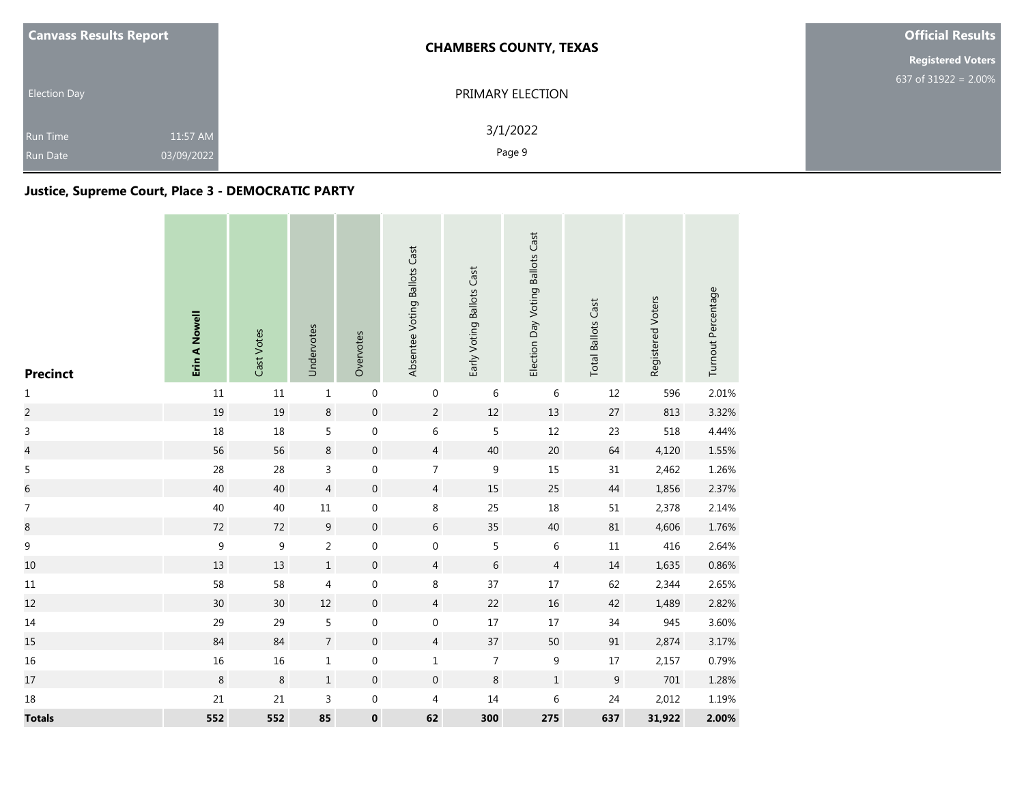| <b>Canvass Results Report</b> |            | <b>CHAMBERS COUNTY, TEXAS</b> | <b>Official Results</b>  |  |  |
|-------------------------------|------------|-------------------------------|--------------------------|--|--|
|                               |            |                               | <b>Registered Voters</b> |  |  |
| <b>Election Day</b>           |            | PRIMARY ELECTION              | 637 of 31922 = $2.00\%$  |  |  |
| <b>Run Time</b>               | 11:57 AM   | 3/1/2022                      |                          |  |  |
| <b>Run Date</b>               | 03/09/2022 | Page 9                        |                          |  |  |

## **Justice, Supreme Court, Place 3 - DEMOCRATIC PARTY**

| <b>Precinct</b>  | Erin A Nowell | Cast Votes  | Undervotes     | Overvotes        | Absentee Voting Ballots Cast | Early Voting Ballots Cast | Election Day Voting Ballots Cast | <b>Total Ballots Cast</b> | Registered Voters | Turnout Percentage |
|------------------|---------------|-------------|----------------|------------------|------------------------------|---------------------------|----------------------------------|---------------------------|-------------------|--------------------|
| $\mathbf 1$      | $11\,$        | $11\,$      | $\,1\,$        | $\boldsymbol{0}$ | $\boldsymbol{0}$             | $\,$ 6 $\,$               | $\,$ 6                           | $12\,$                    | 596               | 2.01%              |
| $\overline{c}$   | 19            | 19          | $\,8\,$        | $\boldsymbol{0}$ | $\overline{2}$               | $12\,$                    | 13                               | $27\,$                    | 813               | 3.32%              |
| $\mathsf 3$      | $18\,$        | 18          | 5              | $\boldsymbol{0}$ | 6                            | 5                         | $12\,$                           | 23                        | 518               | 4.44%              |
| $\overline{a}$   | 56            | 56          | $\,8\,$        | $\mathbf 0$      | $\overline{4}$               | 40                        | 20                               | 64                        | 4,120             | 1.55%              |
| $\sqrt{5}$       | 28            | 28          | $\mathsf{3}$   | $\boldsymbol{0}$ | $\overline{7}$               | $\boldsymbol{9}$          | 15                               | 31                        | 2,462             | 1.26%              |
| $\overline{6}$   | 40            | 40          | $\overline{4}$ | $\boldsymbol{0}$ | $\overline{4}$               | 15                        | 25                               | $44\,$                    | 1,856             | 2.37%              |
| $\boldsymbol{7}$ | $40\,$        | $40\,$      | $11\,$         | $\boldsymbol{0}$ | 8                            | 25                        | $18\,$                           | $51\,$                    | 2,378             | 2.14%              |
| $\bf 8$          | $72\,$        | $72\,$      | $9\,$          | $\boldsymbol{0}$ | 6                            | 35                        | 40                               | $81\,$                    | 4,606             | 1.76%              |
| $\mathsf 9$      | $\mathsf g$   | $\mathsf 9$ | $\overline{2}$ | $\boldsymbol{0}$ | $\boldsymbol{0}$             | 5                         | 6                                | $11\,$                    | 416               | 2.64%              |
| $10\,$           | 13            | $13\,$      | $\,1$          | $\boldsymbol{0}$ | $\overline{4}$               | $\,$ 6 $\,$               | $\overline{4}$                   | $14\,$                    | 1,635             | 0.86%              |
| $11\,$           | 58            | 58          | 4              | $\boldsymbol{0}$ | 8                            | 37                        | 17                               | 62                        | 2,344             | 2.65%              |
| 12               | $30\,$        | 30          | $12\,$         | $\boldsymbol{0}$ | $\overline{4}$               | 22                        | $16\,$                           | 42                        | 1,489             | 2.82%              |
| $14\,$           | 29            | 29          | 5              | $\boldsymbol{0}$ | $\boldsymbol{0}$             | $17\,$                    | $17\,$                           | 34                        | 945               | 3.60%              |
| 15               | 84            | 84          | $\overline{7}$ | $\boldsymbol{0}$ | $\overline{4}$               | 37                        | 50                               | 91                        | 2,874             | 3.17%              |
| 16               | $16\,$        | 16          | $\mathbf 1$    | $\boldsymbol{0}$ | $\mathbf{1}$                 | $\overline{7}$            | 9                                | $17\,$                    | 2,157             | 0.79%              |
| $17\,$           | $\,8\,$       | 8           | $\,1\,$        | $\mathbf 0$      | $\mathbf 0$                  | $\,8\,$                   | $\,1\,$                          | $\boldsymbol{9}$          | $701\,$           | 1.28%              |
| 18               | 21            | 21          | 3              | 0                | 4                            | 14                        | $\sqrt{6}$                       | 24                        | 2,012             | 1.19%              |
| <b>Totals</b>    | 552           | 552         | 85             | $\pmb{0}$        | 62                           | 300                       | 275                              | 637                       | 31,922            | 2.00%              |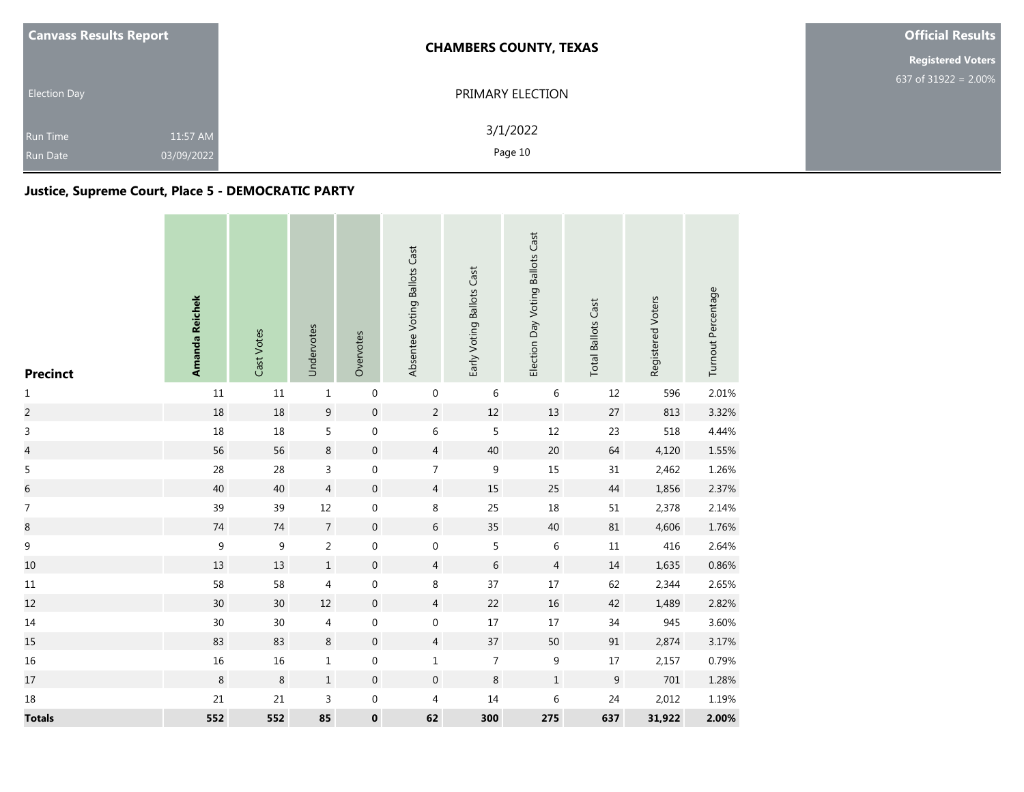| <b>Canvass Results Report</b> |            | <b>CHAMBERS COUNTY, TEXAS</b> | <b>Official Results</b>  |  |  |
|-------------------------------|------------|-------------------------------|--------------------------|--|--|
|                               |            |                               | <b>Registered Voters</b> |  |  |
| <b>Election Day</b>           |            | PRIMARY ELECTION              | 637 of 31922 = $2.00\%$  |  |  |
| <b>Run Time</b>               | 11:57 AM   | 3/1/2022                      |                          |  |  |
| <b>Run Date</b>               | 03/09/2022 | Page 10                       |                          |  |  |

## **Justice, Supreme Court, Place 5 - DEMOCRATIC PARTY**

| <b>Precinct</b>          | Amanda Reichek  | Cast Votes       | Undervotes     | Overvotes        | Absentee Voting Ballots Cast | Early Voting Ballots Cast | Election Day Voting Ballots Cast | <b>Total Ballots Cast</b> | Registered Voters | Turnout Percentage |
|--------------------------|-----------------|------------------|----------------|------------------|------------------------------|---------------------------|----------------------------------|---------------------------|-------------------|--------------------|
| $\mathbf 1$              | $11\,$          | $11\,$           | $\mathbf 1$    | $\,0\,$          | 0                            | $\,$ 6 $\,$               | $\,6\,$                          | $12\,$                    | 596               | 2.01%              |
| $\overline{c}$           | $18\,$          | $18\,$           | 9              | $\mathbf 0$      | $\overline{2}$               | $12\,$                    | 13                               | 27                        | 813               | 3.32%              |
| $\mathsf 3$              | $18\,$          | $18\,$           | 5              | $\boldsymbol{0}$ | $\,$ 6 $\,$                  | 5                         | $12\,$                           | 23                        | 518               | 4.44%              |
| $\overline{\mathcal{L}}$ | 56              | 56               | $\,8\,$        | $\,0\,$          | $\overline{4}$               | 40                        | 20                               | 64                        | 4,120             | 1.55%              |
| $\sqrt{5}$               | 28              | 28               | $\mathsf{3}$   | $\boldsymbol{0}$ | $\overline{7}$               | $\boldsymbol{9}$          | 15                               | 31                        | 2,462             | 1.26%              |
| $\,$ 6 $\,$              | 40              | 40               | $\overline{4}$ | $\boldsymbol{0}$ | $\overline{4}$               | 15                        | 25                               | $44$                      | 1,856             | 2.37%              |
| $\boldsymbol{7}$         | 39              | 39               | $12\,$         | $\boldsymbol{0}$ | 8                            | 25                        | 18                               | $51\,$                    | 2,378             | 2.14%              |
| $\,8\,$                  | $74\,$          | $74\,$           | $\overline{7}$ | $\mathbf 0$      | 6                            | 35                        | 40                               | 81                        | 4,606             | 1.76%              |
| $\mathsf 9$              | $\mathsf 9$     | $\boldsymbol{9}$ | $\overline{2}$ | $\,0\,$          | $\mathbf 0$                  | 5                         | 6                                | $11\,$                    | 416               | 2.64%              |
| $10\,$                   | 13              | 13               | $\,1\,$        | $\boldsymbol{0}$ | $\overline{4}$               | $\,$ 6 $\,$               | $\overline{4}$                   | $14\,$                    | 1,635             | 0.86%              |
| $11\,$                   | 58              | 58               | 4              | $\boldsymbol{0}$ | 8                            | 37                        | $17\,$                           | 62                        | 2,344             | 2.65%              |
| 12                       | 30 <sup>°</sup> | 30               | $12$           | $\mathbf 0$      | $\overline{4}$               | 22                        | $16\,$                           | 42                        | 1,489             | 2.82%              |
| $14\,$                   | 30 <sup>°</sup> | $30\,$           | 4              | $\boldsymbol{0}$ | 0                            | $17\,$                    | 17                               | 34                        | 945               | 3.60%              |
| 15                       | 83              | 83               | $\,8\,$        | $\boldsymbol{0}$ | $\overline{4}$               | 37                        | 50                               | 91                        | 2,874             | 3.17%              |
| 16                       | $16\,$          | $16\,$           | $\mathbf 1$    | $\boldsymbol{0}$ | $\mathbf 1$                  | $\overline{7}$            | $\boldsymbol{9}$                 | $17\,$                    | 2,157             | 0.79%              |
| $17\,$                   | $\,8\,$         | $\,8\,$          | $\,1\,$        | $\boldsymbol{0}$ | $\boldsymbol{0}$             | $\,8\,$                   | $\mathbf 1$                      | $9\,$                     | 701               | 1.28%              |
| 18                       | 21              | $21\,$           | 3              | $\boldsymbol{0}$ | 4                            | $14\,$                    | $\,$ 6 $\,$                      | 24                        | 2,012             | 1.19%              |
| <b>Totals</b>            | 552             | 552              | 85             | $\pmb{0}$        | 62                           | 300                       | 275                              | 637                       | 31,922            | 2.00%              |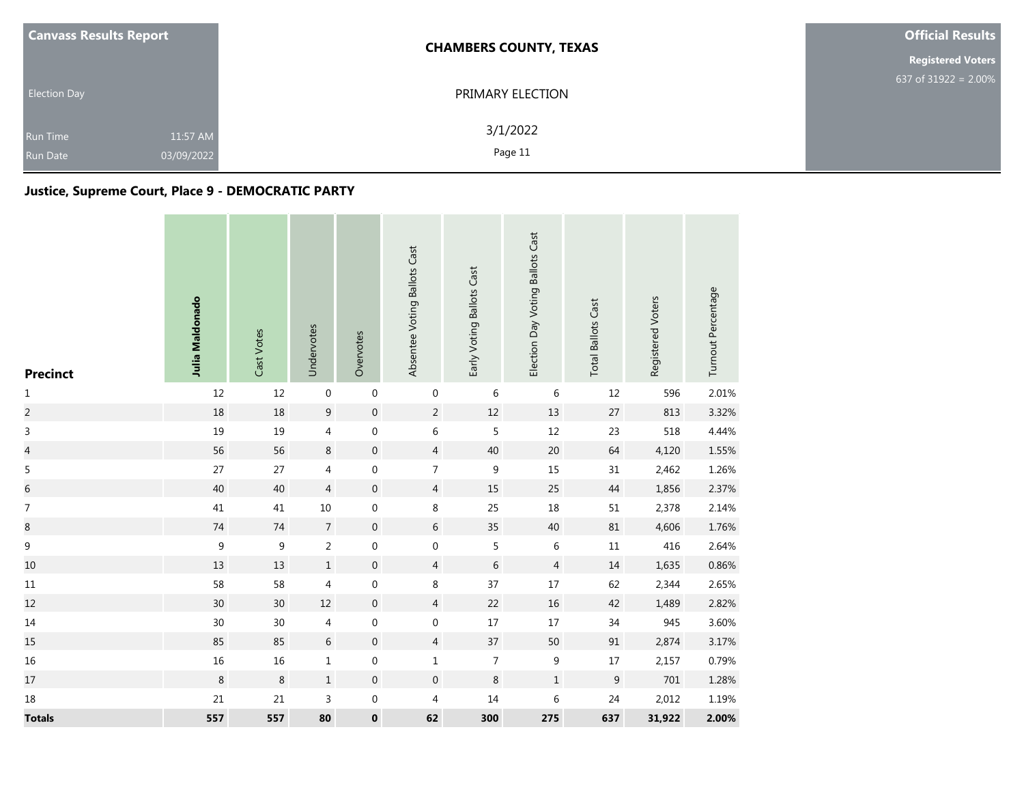| <b>Canvass Results Report</b> |            | <b>CHAMBERS COUNTY, TEXAS</b> | <b>Official Results</b>  |  |  |
|-------------------------------|------------|-------------------------------|--------------------------|--|--|
|                               |            |                               | <b>Registered Voters</b> |  |  |
| <b>Election Day</b>           |            | PRIMARY ELECTION              | 637 of $31922 = 2.00\%$  |  |  |
| <b>Run Time</b>               | 11:57 AM   | 3/1/2022                      |                          |  |  |
| <b>Run Date</b>               | 03/09/2022 | Page 11                       |                          |  |  |

## **Justice, Supreme Court, Place 9 - DEMOCRATIC PARTY**

| <b>Precinct</b>  | Julia Maldonado | Cast Votes       | Undervotes       | Overvotes        | Absentee Voting Ballots Cast | Early Voting Ballots Cast | Election Day Voting Ballots Cast | <b>Total Ballots Cast</b> | Registered Voters | Turnout Percentage |
|------------------|-----------------|------------------|------------------|------------------|------------------------------|---------------------------|----------------------------------|---------------------------|-------------------|--------------------|
| $\mathbf 1$      | 12              | 12               | $\boldsymbol{0}$ | $\boldsymbol{0}$ | $\boldsymbol{0}$             | 6                         | $\,$ 6                           | $12\,$                    | 596               | 2.01%              |
| $\sqrt{2}$       | 18              | 18               | $\boldsymbol{9}$ | $\boldsymbol{0}$ | $\overline{2}$               | 12                        | 13                               | $27\,$                    | 813               | 3.32%              |
| $\mathsf 3$      | 19              | 19               | 4                | $\boldsymbol{0}$ | 6                            | 5                         | 12                               | 23                        | 518               | 4.44%              |
| $\overline{a}$   | 56              | 56               | $\,8\,$          | $\boldsymbol{0}$ | $\overline{4}$               | 40                        | $20\,$                           | 64                        | 4,120             | 1.55%              |
| $\sqrt{5}$       | 27              | 27               | $\overline{4}$   | $\boldsymbol{0}$ | $\overline{7}$               | $\boldsymbol{9}$          | 15                               | 31                        | 2,462             | 1.26%              |
| $\,$ 6 $\,$      | 40              | 40               | $\overline{4}$   | $\boldsymbol{0}$ | $\overline{4}$               | 15                        | 25                               | $44$                      | 1,856             | 2.37%              |
| $\boldsymbol{7}$ | 41              | 41               | $10\,$           | $\boldsymbol{0}$ | 8                            | 25                        | $18\,$                           | $51\,$                    | 2,378             | 2.14%              |
| $\,8\,$          | $74\,$          | $74\,$           | $\overline{7}$   | $\boldsymbol{0}$ | 6                            | 35                        | 40                               | $81\,$                    | 4,606             | 1.76%              |
| $\boldsymbol{9}$ | $\mathsf 9$     | $\boldsymbol{9}$ | $\overline{2}$   | $\boldsymbol{0}$ | $\boldsymbol{0}$             | 5                         | $\,$ 6 $\,$                      | $11\,$                    | 416               | 2.64%              |
| $10\,$           | 13              | 13               | $1\,$            | $\boldsymbol{0}$ | $\overline{4}$               | $\,$ 6 $\,$               | $\overline{4}$                   | $14\,$                    | 1,635             | 0.86%              |
| $11\,$           | 58              | 58               | 4                | $\boldsymbol{0}$ | 8                            | 37                        | $17\,$                           | 62                        | 2,344             | 2.65%              |
| 12               | 30              | 30               | $12\,$           | $\boldsymbol{0}$ | $\overline{4}$               | 22                        | $16\,$                           | 42                        | 1,489             | 2.82%              |
| $14\,$           | $30\,$          | $30\,$           | $\overline{4}$   | $\boldsymbol{0}$ | $\boldsymbol{0}$             | $17\,$                    | $17\,$                           | $34\,$                    | 945               | 3.60%              |
| 15               | 85              | 85               | $\sqrt{6}$       | $\boldsymbol{0}$ | $\overline{4}$               | 37                        | 50                               | 91                        | 2,874             | 3.17%              |
| 16               | 16              | 16               | $\mathbf{1}$     | 0                | $\mathbf{1}$                 | $\overline{7}$            | $\boldsymbol{9}$                 | $17\,$                    | 2,157             | 0.79%              |
| $17\,$           | $\,8\,$         | $\,8\,$          | $\,1\,$          | $\boldsymbol{0}$ | $\boldsymbol{0}$             | $\,8\,$                   | $\mathbf 1$                      | $\boldsymbol{9}$          | $701\,$           | 1.28%              |
| 18               | 21              | 21               | 3                | $\boldsymbol{0}$ | 4                            | 14                        | $\sqrt{6}$                       | 24                        | 2,012             | 1.19%              |
| <b>Totals</b>    | 557             | 557              | 80               | $\pmb{0}$        | 62                           | 300                       | 275                              | 637                       | 31,922            | 2.00%              |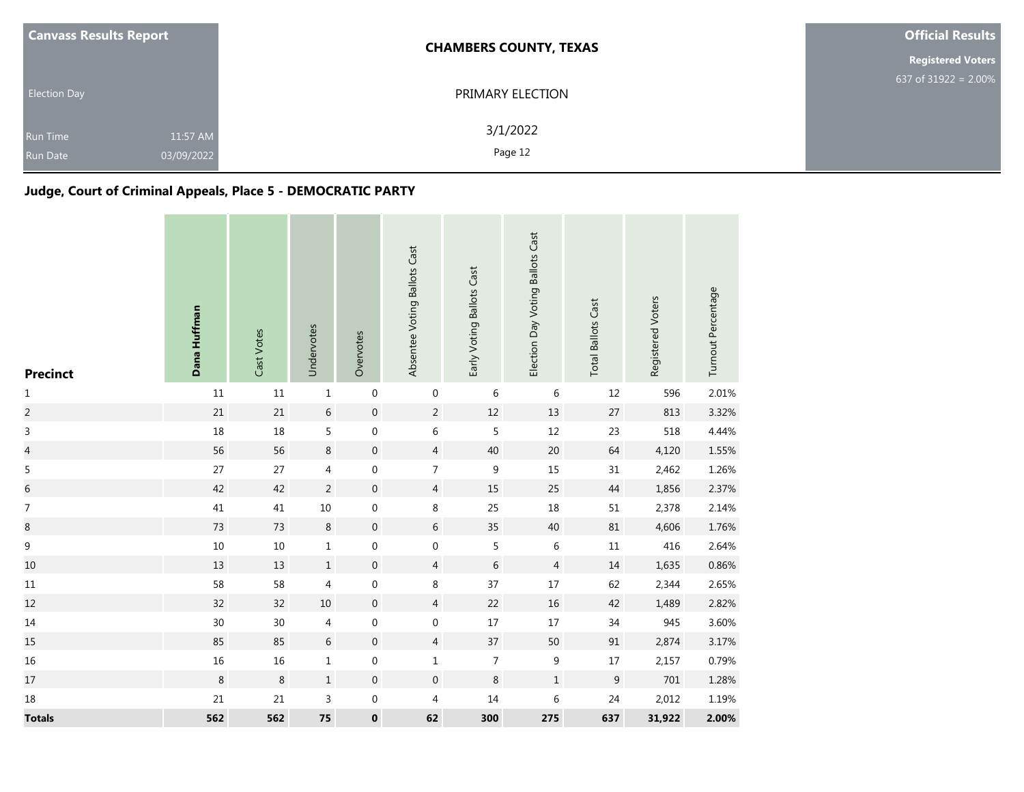| <b>Canvass Results Report</b>      |                        | <b>CHAMBERS COUNTY, TEXAS</b> | <b>Official Results</b>  |
|------------------------------------|------------------------|-------------------------------|--------------------------|
|                                    |                        |                               | <b>Registered Voters</b> |
| <b>Election Day</b>                |                        | PRIMARY ELECTION              | 637 of 31922 = $2.00\%$  |
| <b>Run Time</b><br><b>Run Date</b> | 11:57 AM<br>03/09/2022 | 3/1/2022<br>Page 12           |                          |

# **Judge, Court of Criminal Appeals, Place 5 - DEMOCRATIC PARTY**

| <b>Precinct</b>          | Dana Huffman | Cast Votes | Undervotes     | Overvotes        | Absentee Voting Ballots Cast | Early Voting Ballots Cast | Election Day Voting Ballots Cast | <b>Total Ballots Cast</b> | Registered Voters | Turnout Percentage |
|--------------------------|--------------|------------|----------------|------------------|------------------------------|---------------------------|----------------------------------|---------------------------|-------------------|--------------------|
| $\mathbf{1}$             | $11\,$       | $11\,$     | $\mathbf 1$    | $\boldsymbol{0}$ | $\boldsymbol{0}$             | 6                         | 6                                | 12                        | 596               | 2.01%              |
| $\overline{c}$           | 21           | 21         | $6\,$          | $\,0\,$          | $\overline{a}$               | $12\,$                    | $13$                             | $27\,$                    | 813               | 3.32%              |
| 3                        | $18\,$       | 18         | 5              | $\boldsymbol{0}$ | 6                            | 5                         | $12\,$                           | 23                        | 518               | 4.44%              |
| $\overline{\mathcal{L}}$ | 56           | 56         | $\bf 8$        | $\boldsymbol{0}$ | $\overline{4}$               | $40\,$                    | 20                               | 64                        | 4,120             | 1.55%              |
| $\overline{5}$           | 27           | $27$       | 4              | $\boldsymbol{0}$ | $\overline{7}$               | 9                         | 15                               | $31\,$                    | 2,462             | 1.26%              |
| $\overline{6}$           | 42           | 42         | $\overline{2}$ | $\boldsymbol{0}$ | $\overline{4}$               | 15                        | 25                               | $44\,$                    | 1,856             | 2.37%              |
| $\overline{7}$           | 41           | 41         | $10\,$         | $\boldsymbol{0}$ | $\,8\,$                      | 25                        | $18\,$                           | $51\,$                    | 2,378             | 2.14%              |
| $\,8\,$                  | 73           | 73         | $\,8\,$        | $\boldsymbol{0}$ | 6                            | 35                        | 40                               | 81                        | 4,606             | 1.76%              |
| $\boldsymbol{9}$         | $10\,$       | $10\,$     | $\mathbf{1}$   | $\boldsymbol{0}$ | $\boldsymbol{0}$             | 5                         | $\,$ 6 $\,$                      | $11\,$                    | 416               | 2.64%              |
| 10                       | 13           | 13         | $\mathbf 1$    | $\boldsymbol{0}$ | $\overline{4}$               | 6                         | 4                                | 14                        | 1,635             | 0.86%              |
| 11                       | 58           | 58         | 4              | $\boldsymbol{0}$ | 8                            | 37                        | $17\,$                           | 62                        | 2,344             | 2.65%              |
| 12                       | 32           | 32         | $10\,$         | $\boldsymbol{0}$ | $\overline{4}$               | 22                        | 16                               | 42                        | 1,489             | 2.82%              |
| 14                       | $30\,$       | 30         | $\overline{4}$ | $\boldsymbol{0}$ | $\boldsymbol{0}$             | $17\,$                    | $17\,$                           | 34                        | 945               | 3.60%              |
| 15                       | 85           | 85         | $6\,$          | $\boldsymbol{0}$ | $\overline{4}$               | 37                        | 50                               | $91\,$                    | 2,874             | 3.17%              |
| 16                       | $16\,$       | 16         | $\mathbf{1}$   | $\boldsymbol{0}$ | $\mathbf 1$                  | $\overline{7}$            | 9                                | $17\,$                    | 2,157             | 0.79%              |
| $17\,$                   | $\,8\,$      | $\,8\,$    | $\,1\,$        | $\boldsymbol{0}$ | $\boldsymbol{0}$             | $\,8\,$                   | $\mathbf 1$                      | $\mathsf 9$               | 701               | 1.28%              |
| 18                       | 21           | 21         | 3              | $\boldsymbol{0}$ | 4                            | $14\,$                    | $\,$ 6 $\,$                      | 24                        | 2,012             | 1.19%              |
| <b>Totals</b>            | 562          | 562        | 75             | $\pmb{0}$        | 62                           | 300                       | 275                              | 637                       | 31,922            | 2.00%              |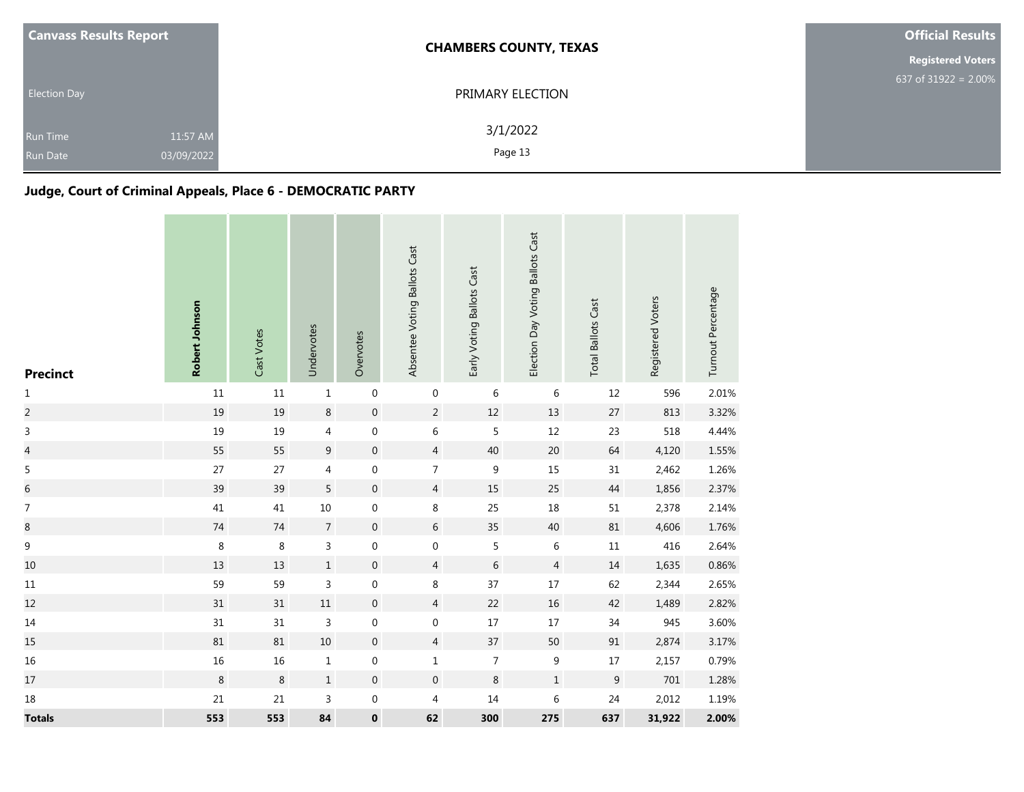| <b>Canvass Results Report</b> |                        | <b>CHAMBERS COUNTY, TEXAS</b> | <b>Official Results</b>  |
|-------------------------------|------------------------|-------------------------------|--------------------------|
|                               |                        |                               | <b>Registered Voters</b> |
| <b>Election Day</b>           |                        | PRIMARY ELECTION              | 637 of $31922 = 2.00\%$  |
| <b>Run Time</b><br>Run Date   | 11:57 AM<br>03/09/2022 | 3/1/2022<br>Page 13           |                          |

# **Judge, Court of Criminal Appeals, Place 6 - DEMOCRATIC PARTY**

| <b>Precinct</b>          | Robert Johnson | Cast Votes | Undervotes     | Overvotes        | Absentee Voting Ballots Cast | Early Voting Ballots Cast | Election Day Voting Ballots Cast | <b>Total Ballots Cast</b> | Registered Voters | Turnout Percentage |
|--------------------------|----------------|------------|----------------|------------------|------------------------------|---------------------------|----------------------------------|---------------------------|-------------------|--------------------|
| $1\,$                    | $11\,$         | $11\,$     | $\mathbf 1$    | $\boldsymbol{0}$ | $\boldsymbol{0}$             | 6                         | 6                                | $12\,$                    | 596               | 2.01%              |
| $\overline{c}$           | 19             | 19         | $\,8\,$        | $\boldsymbol{0}$ | $\overline{2}$               | 12                        | 13                               | 27                        | 813               | 3.32%              |
| 3                        | 19             | 19         | 4              | $\boldsymbol{0}$ | 6                            | 5                         | 12                               | 23                        | 518               | 4.44%              |
| $\overline{\mathcal{L}}$ | 55             | 55         | 9              | $\boldsymbol{0}$ | $\overline{4}$               | $40\,$                    | $20\,$                           | 64                        | 4,120             | 1.55%              |
| $\mathsf S$              | 27             | 27         | 4              | $\boldsymbol{0}$ | $\overline{7}$               | $\boldsymbol{9}$          | 15                               | 31                        | 2,462             | 1.26%              |
| $\,$ 6 $\,$              | 39             | 39         | 5              | $\boldsymbol{0}$ | $\overline{4}$               | 15                        | 25                               | $44\,$                    | 1,856             | 2.37%              |
| $\boldsymbol{7}$         | 41             | 41         | $10\,$         | $\boldsymbol{0}$ | 8                            | 25                        | 18                               | $51\,$                    | 2,378             | 2.14%              |
| $\bf 8$                  | 74             | $74\,$     | $\overline{7}$ | $\boldsymbol{0}$ | 6                            | 35                        | 40                               | $81\,$                    | 4,606             | 1.76%              |
| $\mathsf g$              | $\,8\,$        | $\,8\,$    | 3              | $\boldsymbol{0}$ | $\boldsymbol{0}$             | 5                         | 6                                | $11\,$                    | 416               | 2.64%              |
| 10                       | 13             | 13         | $\mathbf{1}$   | $\mathbf 0$      | $\overline{4}$               | $\,$ 6 $\,$               | $\overline{4}$                   | 14                        | 1,635             | 0.86%              |
| $11\,$                   | 59             | 59         | 3              | $\boldsymbol{0}$ | $\,8\,$                      | 37                        | $17\,$                           | 62                        | 2,344             | 2.65%              |
| 12                       | $31\,$         | 31         | $11\,$         | $\mathbf 0$      | $\overline{4}$               | 22                        | $16\,$                           | 42                        | 1,489             | 2.82%              |
| $14\,$                   | 31             | $31\,$     | 3              | $\boldsymbol{0}$ | 0                            | $17\,$                    | $17\,$                           | 34                        | 945               | 3.60%              |
| 15                       | 81             | 81         | $10\,$         | $\boldsymbol{0}$ | $\overline{4}$               | 37                        | 50                               | $91\,$                    | 2,874             | 3.17%              |
| 16                       | 16             | $16\,$     | $\mathbf{1}$   | $\boldsymbol{0}$ | $\mathbf 1$                  | $\overline{7}$            | $\boldsymbol{9}$                 | $17\,$                    | 2,157             | 0.79%              |
| 17                       | $\,8\,$        | $\,8\,$    | $\,1\,$        | $\boldsymbol{0}$ | $\boldsymbol{0}$             | $\,8\,$                   | $\mathbf 1$                      | $\mathsf 9$               | 701               | 1.28%              |
| $18\,$                   | 21             | 21         | 3              | $\boldsymbol{0}$ | 4                            | $14\,$                    | $\,$ 6 $\,$                      | 24                        | 2,012             | 1.19%              |
| <b>Totals</b>            | 553            | 553        | 84             | $\pmb{0}$        | 62                           | 300                       | 275                              | 637                       | 31,922            | 2.00%              |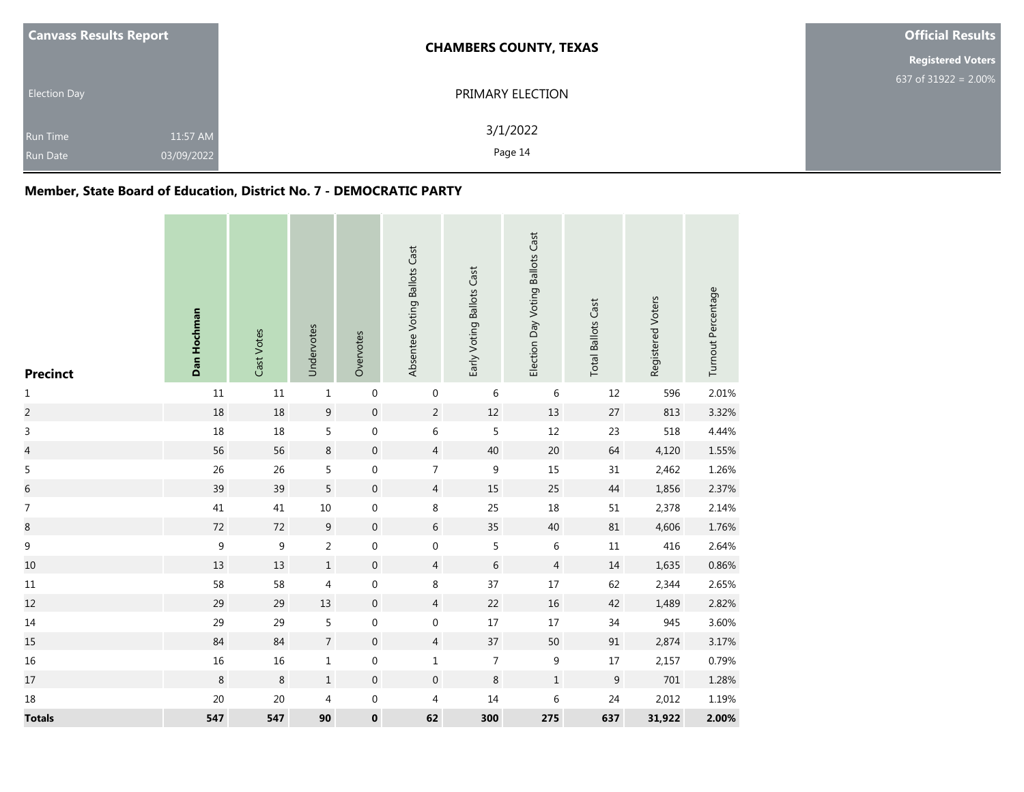| <b>Canvass Results Report</b>      |                        | <b>CHAMBERS COUNTY, TEXAS</b> | <b>Official Results</b>  |
|------------------------------------|------------------------|-------------------------------|--------------------------|
|                                    |                        |                               | <b>Registered Voters</b> |
| <b>Election Day</b>                |                        | PRIMARY ELECTION              | 637 of $31922 = 2.00\%$  |
| <b>Run Time</b><br><b>Run Date</b> | 11:57 AM<br>03/09/2022 | 3/1/2022<br>Page 14           |                          |

# **Member, State Board of Education, District No. 7 - DEMOCRATIC PARTY**

| <b>Precinct</b> | Dan Hochman | Cast Votes       | Undervotes     | Overvotes        | Absentee Voting Ballots Cast | Early Voting Ballots Cast | Election Day Voting Ballots Cast | <b>Total Ballots Cast</b> | Registered Voters | Turnout Percentage |
|-----------------|-------------|------------------|----------------|------------------|------------------------------|---------------------------|----------------------------------|---------------------------|-------------------|--------------------|
| $\mathbf 1$     | $11\,$      | $11\,$           | $\mathbf 1$    | $\boldsymbol{0}$ | $\boldsymbol{0}$             | 6                         | $\,6\,$                          | $12\,$                    | 596               | 2.01%              |
| $\overline{c}$  | 18          | 18               | 9              | $\boldsymbol{0}$ | $\overline{2}$               | $12\,$                    | $13$                             | $27\,$                    | 813               | 3.32%              |
| 3               | $18\,$      | 18               | 5              | $\boldsymbol{0}$ | 6                            | 5                         | $12\,$                           | 23                        | 518               | 4.44%              |
| $\overline{a}$  | 56          | 56               | 8              | $\boldsymbol{0}$ | $\overline{4}$               | 40                        | 20                               | 64                        | 4,120             | 1.55%              |
| $\sqrt{5}$      | 26          | 26               | 5              | $\boldsymbol{0}$ | 7                            | $\boldsymbol{9}$          | 15                               | $31\,$                    | 2,462             | 1.26%              |
| $\overline{6}$  | 39          | 39               | 5              | $\boldsymbol{0}$ | $\overline{4}$               | 15                        | 25                               | $44$                      | 1,856             | 2.37%              |
| $\overline{7}$  | 41          | $41\,$           | $10\,$         | $\boldsymbol{0}$ | $\,8\,$                      | 25                        | $18\,$                           | $51\,$                    | 2,378             | 2.14%              |
| $\bf 8$         | $72\,$      | 72               | 9              | $\boldsymbol{0}$ | 6                            | 35                        | 40                               | 81                        | 4,606             | 1.76%              |
| $\mathsf 9$     | $\mathsf g$ | $\boldsymbol{9}$ | $\overline{2}$ | $\boldsymbol{0}$ | $\mathbf 0$                  | 5                         | 6                                | $11\,$                    | 416               | 2.64%              |
| 10              | 13          | 13               | $\,1\,$        | $\boldsymbol{0}$ | $\overline{4}$               | $\,$ 6 $\,$               | $\overline{4}$                   | $14\,$                    | 1,635             | 0.86%              |
| 11              | 58          | 58               | 4              | $\boldsymbol{0}$ | $\,8\,$                      | 37                        | 17                               | 62                        | 2,344             | 2.65%              |
| 12              | 29          | 29               | $13\,$         | $\boldsymbol{0}$ | $\overline{4}$               | 22                        | $16\,$                           | 42                        | 1,489             | 2.82%              |
| $14\,$          | 29          | 29               | 5              | $\boldsymbol{0}$ | $\boldsymbol{0}$             | $17\,$                    | $17\,$                           | 34                        | 945               | 3.60%              |
| 15              | 84          | 84               | $\overline{7}$ | $\boldsymbol{0}$ | $\overline{4}$               | 37                        | 50                               | $\ensuremath{91}$         | 2,874             | 3.17%              |
| 16              | $16\,$      | 16               | $\mathbf 1$    | $\boldsymbol{0}$ | $\mathbf 1$                  | $\overline{7}$            | $\boldsymbol{9}$                 | $17\,$                    | 2,157             | 0.79%              |
| 17              | $\,8\,$     | $\,8\,$          | $\,1\,$        | $\boldsymbol{0}$ | $\boldsymbol{0}$             | $\,8\,$                   | $\,1\,$                          | $\mathsf 9$               | 701               | 1.28%              |
| 18              | 20          | 20               | 4              | 0                | 4                            | $14\,$                    | $\,6\,$                          | 24                        | 2,012             | 1.19%              |
| <b>Totals</b>   | 547         | 547              | 90             | 0                | 62                           | 300                       | 275                              | 637                       | 31,922            | 2.00%              |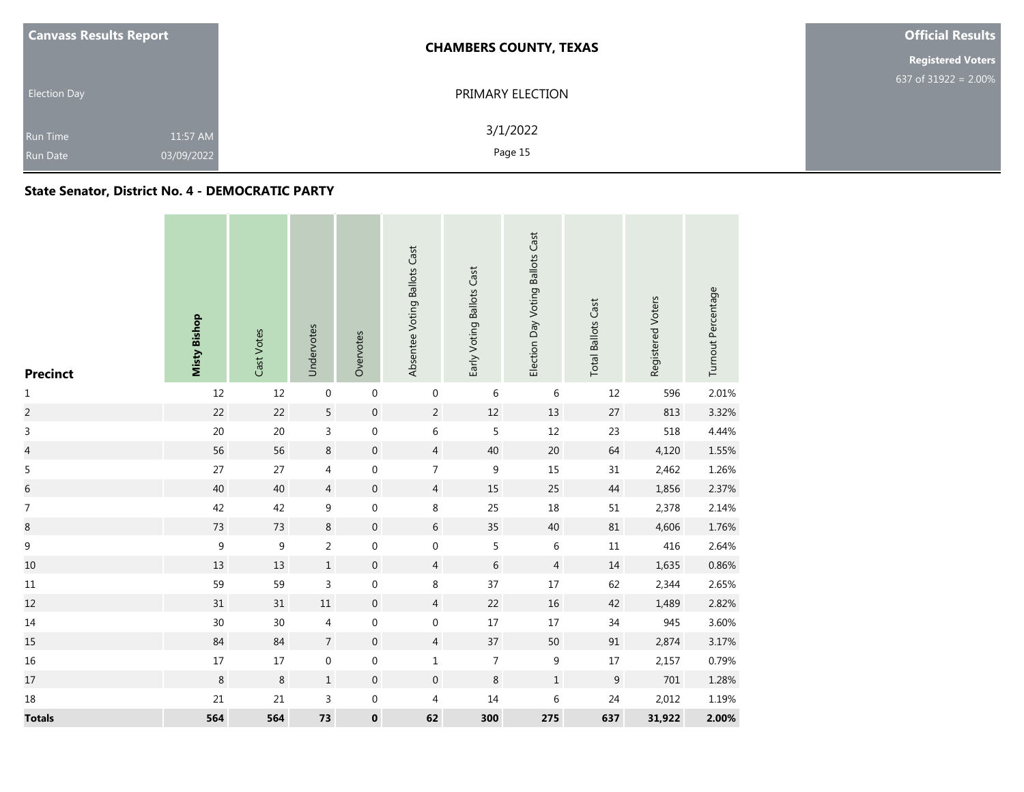| <b>Canvass Results Report</b> |            | <b>CHAMBERS COUNTY, TEXAS</b> | <b>Official Results</b>  |  |  |
|-------------------------------|------------|-------------------------------|--------------------------|--|--|
|                               |            |                               | <b>Registered Voters</b> |  |  |
|                               |            |                               | 637 of 31922 = $2.00\%$  |  |  |
| <b>Election Day</b>           |            | PRIMARY ELECTION              |                          |  |  |
|                               |            | 3/1/2022                      |                          |  |  |
| Run Time                      | 11:57 AM   |                               |                          |  |  |
| <b>Run Date</b>               | 03/09/2022 | Page 15                       |                          |  |  |

## **State Senator, District No. 4 - DEMOCRATIC PARTY**

| <b>Precinct</b>  | <b>Misty Bishop</b> | Cast Votes       | Undervotes       | Overvotes        | Absentee Voting Ballots Cast | Early Voting Ballots Cast | Election Day Voting Ballots Cast | <b>Total Ballots Cast</b> | Registered Voters | Turnout Percentage |
|------------------|---------------------|------------------|------------------|------------------|------------------------------|---------------------------|----------------------------------|---------------------------|-------------------|--------------------|
| $\mathbf 1$      | 12                  | 12               | $\boldsymbol{0}$ | $\boldsymbol{0}$ | $\boldsymbol{0}$             | 6                         | 6                                | $12\,$                    | 596               | 2.01%              |
| $\overline{2}$   | 22                  | 22               | 5                | $\mathbf 0$      | $\overline{2}$               | 12                        | 13                               | 27                        | 813               | 3.32%              |
| $\overline{3}$   | $20\,$              | $20\,$           | 3                | $\boldsymbol{0}$ | 6                            | 5                         | 12                               | 23                        | 518               | 4.44%              |
| $\overline{a}$   | 56                  | 56               | $\,8\,$          | $\boldsymbol{0}$ | $\overline{4}$               | 40                        | 20                               | 64                        | 4,120             | 1.55%              |
| $\sqrt{5}$       | 27                  | $27$             | $\overline{4}$   | 0                | $\overline{7}$               | 9                         | 15                               | 31                        | 2,462             | 1.26%              |
| $\overline{6}$   | 40                  | 40               | $\overline{4}$   | $\boldsymbol{0}$ | $\overline{4}$               | 15                        | 25                               | $44$                      | 1,856             | 2.37%              |
| $\boldsymbol{7}$ | 42                  | 42               | 9                | $\boldsymbol{0}$ | 8                            | 25                        | $18\,$                           | $51\,$                    | 2,378             | 2.14%              |
| $\bf 8$          | 73                  | 73               | $\,8\,$          | $\boldsymbol{0}$ | 6                            | 35                        | 40                               | $81\,$                    | 4,606             | 1.76%              |
| $\mathsf 9$      | $\boldsymbol{9}$    | $\boldsymbol{9}$ | $\overline{2}$   | $\boldsymbol{0}$ | $\boldsymbol{0}$             | 5                         | 6                                | $11\,$                    | 416               | 2.64%              |
| $10\,$           | 13                  | 13               | $\,1\,$          | $\boldsymbol{0}$ | $\overline{4}$               | $\,$ 6 $\,$               | $\overline{4}$                   | $14\,$                    | 1,635             | 0.86%              |
| $11\,$           | 59                  | 59               | $\mathsf{3}$     | $\boldsymbol{0}$ | 8                            | 37                        | $17\,$                           | 62                        | 2,344             | 2.65%              |
| 12               | 31                  | 31               | $11\,$           | $\boldsymbol{0}$ | $\overline{4}$               | 22                        | $16\,$                           | 42                        | 1,489             | 2.82%              |
| $14\,$           | $30\,$              | $30\,$           | $\overline{4}$   | 0                | 0                            | $17\,$                    | $17\,$                           | $34\,$                    | 945               | 3.60%              |
| 15               | 84                  | 84               | $\overline{7}$   | $\boldsymbol{0}$ | $\overline{4}$               | 37                        | 50                               | $91\,$                    | 2,874             | 3.17%              |
| 16               | $17\,$              | $17\,$           | $\boldsymbol{0}$ | $\boldsymbol{0}$ | $\mathbf{1}$                 | $\overline{7}$            | $\boldsymbol{9}$                 | $17\,$                    | 2,157             | 0.79%              |
| $17\,$           | $\,8\,$             | $\,8\,$          | $\,1\,$          | $\boldsymbol{0}$ | $\boldsymbol{0}$             | 8                         | $\mathbf 1$                      | $\boldsymbol{9}$          | $701\,$           | 1.28%              |
| 18               | 21                  | 21               | 3                | $\boldsymbol{0}$ | 4                            | 14                        | $\sqrt{6}$                       | 24                        | 2,012             | 1.19%              |
| <b>Totals</b>    | 564                 | 564              | 73               | $\pmb{0}$        | 62                           | 300                       | 275                              | 637                       | 31,922            | 2.00%              |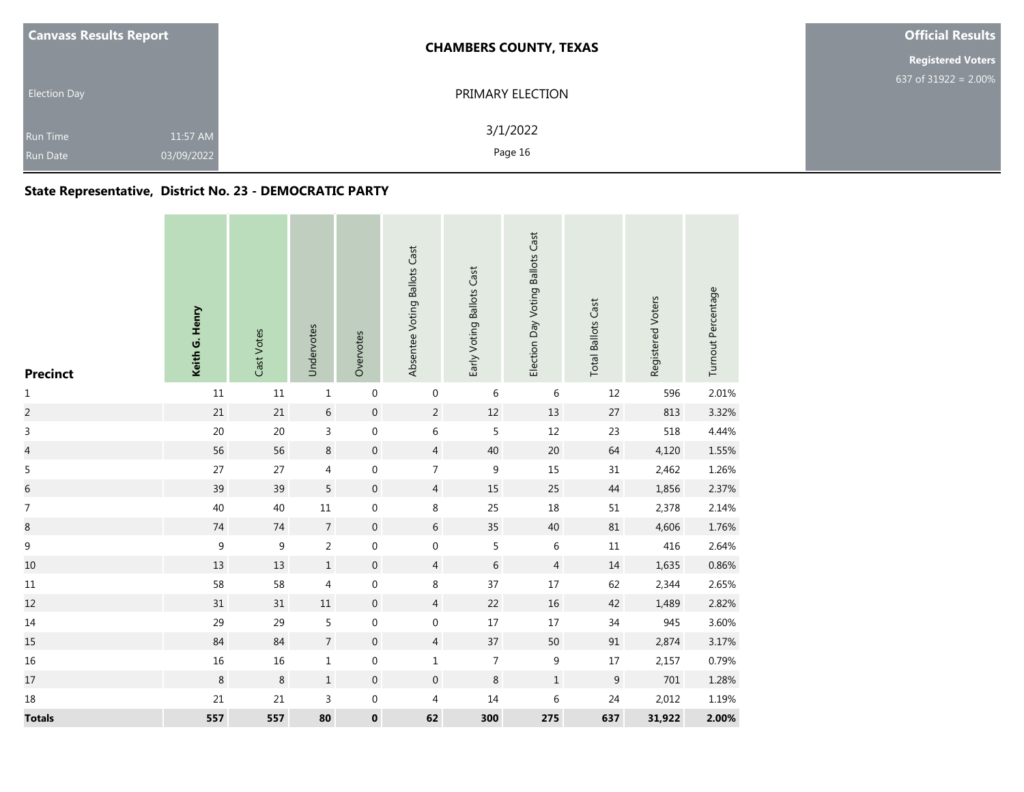| <b>Canvass Results Report</b> |                        | <b>CHAMBERS COUNTY, TEXAS</b> | <b>Official Results</b>  |  |  |
|-------------------------------|------------------------|-------------------------------|--------------------------|--|--|
|                               |                        |                               | <b>Registered Voters</b> |  |  |
| <b>Election Day</b>           |                        | PRIMARY ELECTION              | 637 of $31922 = 2.00\%$  |  |  |
| Run Time<br><b>Run Date</b>   | 11:57 AM<br>03/09/2022 | 3/1/2022<br>Page 16           |                          |  |  |

# **State Representative, District No. 23 - DEMOCRATIC PARTY**

| <b>Precinct</b> | Keith G. Henry | Cast Votes  | Undervotes     | Overvotes        | Absentee Voting Ballots Cast | Early Voting Ballots Cast | Election Day Voting Ballots Cast | <b>Total Ballots Cast</b> | Registered Voters | Turnout Percentage |
|-----------------|----------------|-------------|----------------|------------------|------------------------------|---------------------------|----------------------------------|---------------------------|-------------------|--------------------|
| $\mathbf 1$     | $11\,$         | $11\,$      | $\mathbf 1$    | $\,0\,$          | 0                            | $\,$ 6 $\,$               | $\,$ 6 $\,$                      | 12                        | 596               | 2.01%              |
| $\overline{c}$  | $21\,$         | $21\,$      | $\sqrt{6}$     | $\mathbf 0$      | $\overline{2}$               | $12\,$                    | $13\,$                           | $27\,$                    | 813               | 3.32%              |
| 3               | 20             | $20\,$      | 3              | $\boldsymbol{0}$ | 6                            | 5                         | $12\,$                           | 23                        | 518               | 4.44%              |
| $\overline{a}$  | 56             | 56          | 8              | $\,0\,$          | $\overline{4}$               | 40                        | 20                               | 64                        | 4,120             | 1.55%              |
| $\sqrt{5}$      | 27             | 27          | $\overline{4}$ | $\,0\,$          | $\overline{7}$               | $\boldsymbol{9}$          | 15                               | 31                        | 2,462             | 1.26%              |
| $\,$ 6 $\,$     | 39             | 39          | 5              | $\boldsymbol{0}$ | $\overline{4}$               | 15                        | 25                               | $44\,$                    | 1,856             | 2.37%              |
| $\overline{7}$  | 40             | 40          | $11\,$         | $\boldsymbol{0}$ | 8                            | 25                        | 18                               | $51\,$                    | 2,378             | 2.14%              |
| $\bf 8$         | $74\,$         | $74\,$      | $\overline{7}$ | $\boldsymbol{0}$ | 6                            | 35                        | 40                               | $81\,$                    | 4,606             | 1.76%              |
| $\overline{9}$  | $\mathsf 9$    | $\mathsf 9$ | $\overline{2}$ | $\pmb{0}$        | $\mathbf 0$                  | 5                         | $\,6\,$                          | $11\,$                    | 416               | 2.64%              |
| 10              | 13             | 13          | $1\,$          | $\boldsymbol{0}$ | $\overline{4}$               | $\,$ 6 $\,$               | $\sqrt{4}$                       | $14\,$                    | 1,635             | 0.86%              |
| 11              | 58             | 58          | 4              | $\boldsymbol{0}$ | 8                            | 37                        | 17                               | 62                        | 2,344             | 2.65%              |
| 12              | $31\,$         | $31\,$      | $11\,$         | $\mathbf 0$      | $\overline{4}$               | 22                        | $16\,$                           | 42                        | 1,489             | 2.82%              |
| $14\,$          | 29             | 29          | $5\phantom{a}$ | $\boldsymbol{0}$ | 0                            | $17\,$                    | $17\,$                           | 34                        | 945               | 3.60%              |
| 15              | 84             | 84          | $\overline{7}$ | $\boldsymbol{0}$ | $\overline{4}$               | 37                        | 50                               | $91\,$                    | 2,874             | 3.17%              |
| 16              | $16\,$         | $16\,$      | $\mathbf{1}$   | $\boldsymbol{0}$ | $\mathbf{1}$                 | $\overline{7}$            | $\boldsymbol{9}$                 | $17\,$                    | 2,157             | 0.79%              |
| $17\,$          | $\,8\,$        | $\,8\,$     | $\,1\,$        | $\boldsymbol{0}$ | $\boldsymbol{0}$             | $\,8\,$                   | $\,1\,$                          | $\boldsymbol{9}$          | $701\,$           | 1.28%              |
| 18              | 21             | 21          | $\mathsf{3}$   | $\boldsymbol{0}$ | 4                            | $14\,$                    | $\,$ 6 $\,$                      | 24                        | 2,012             | 1.19%              |
| <b>Totals</b>   | 557            | 557         | 80             | $\pmb{0}$        | 62                           | 300                       | 275                              | 637                       | 31,922            | 2.00%              |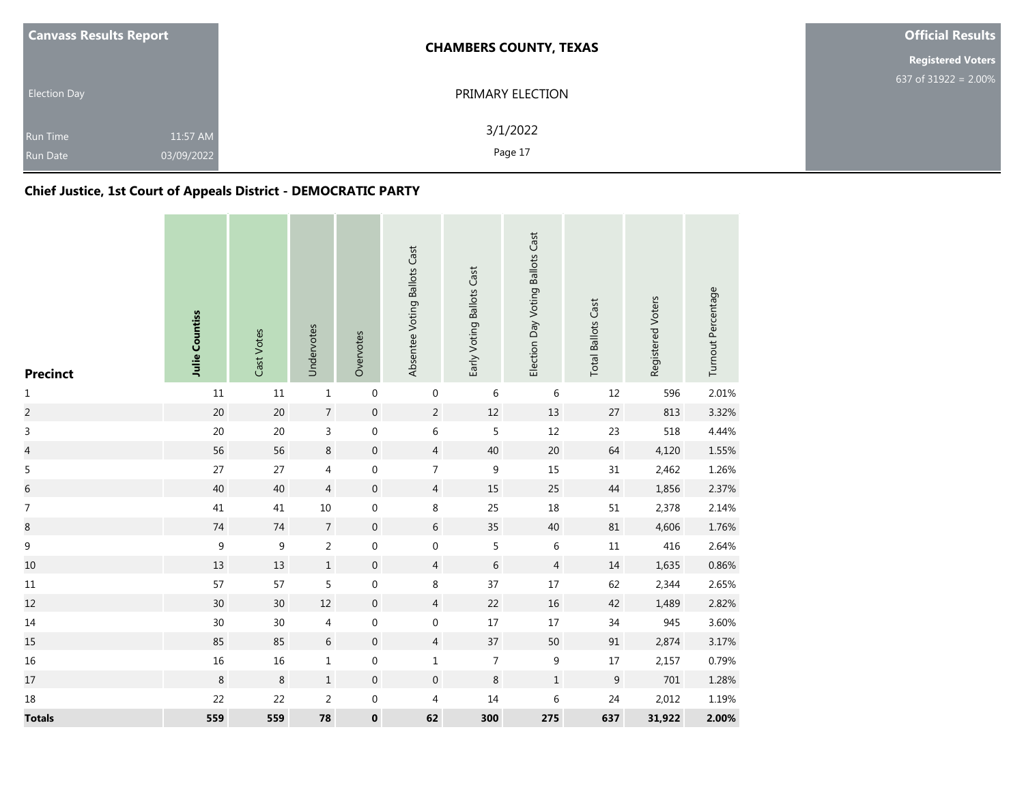| <b>Canvass Results Report</b>      |                        | <b>CHAMBERS COUNTY, TEXAS</b> | <b>Official Results</b>  |
|------------------------------------|------------------------|-------------------------------|--------------------------|
|                                    |                        |                               | <b>Registered Voters</b> |
| <b>Election Day</b>                |                        | PRIMARY ELECTION              | 637 of 31922 = $2.00\%$  |
| <b>Run Time</b><br><b>Run Date</b> | 11:57 AM<br>03/09/2022 | 3/1/2022<br>Page 17           |                          |

# **Chief Justice, 1st Court of Appeals District - DEMOCRATIC PARTY**

| <b>Precinct</b> | Julie Countiss | Cast Votes | Undervotes     | Overvotes        | Absentee Voting Ballots Cast | Early Voting Ballots Cast | Election Day Voting Ballots Cast | <b>Total Ballots Cast</b> | Registered Voters | Turnout Percentage |
|-----------------|----------------|------------|----------------|------------------|------------------------------|---------------------------|----------------------------------|---------------------------|-------------------|--------------------|
| $\mathbf{1}$    | $11\,$         | $11\,$     | $\mathbf 1$    | $\boldsymbol{0}$ | $\boldsymbol{0}$             | $\,$ 6 $\,$               | $\,$ 6 $\,$                      | 12                        | 596               | 2.01%              |
| $\overline{c}$  | 20             | 20         | $\overline{7}$ | $\boldsymbol{0}$ | $\overline{2}$               | $12\,$                    | 13                               | 27                        | 813               | 3.32%              |
| 3               | $20\,$         | 20         | $\mathsf{3}$   | $\boldsymbol{0}$ | 6                            | 5                         | $12\,$                           | 23                        | 518               | 4.44%              |
| $\overline{a}$  | 56             | 56         | $\bf 8$        | $\boldsymbol{0}$ | $\overline{4}$               | 40                        | 20                               | 64                        | 4,120             | 1.55%              |
| 5               | 27             | 27         | 4              | $\boldsymbol{0}$ | $\overline{7}$               | $\boldsymbol{9}$          | 15                               | 31                        | 2,462             | 1.26%              |
| $\,$ 6 $\,$     | 40             | 40         | $\overline{4}$ | $\boldsymbol{0}$ | $\overline{4}$               | 15                        | 25                               | 44                        | 1,856             | 2.37%              |
| 7               | 41             | 41         | $10\,$         | $\boldsymbol{0}$ | $\,8\,$                      | 25                        | $18\,$                           | 51                        | 2,378             | 2.14%              |
| $\bf 8$         | $74\,$         | $74\,$     | $\overline{7}$ | $\boldsymbol{0}$ | 6                            | 35                        | $40\,$                           | $81\,$                    | 4,606             | 1.76%              |
| $\mathsf 9$     | $\mathsf g$    | $9\,$      | $\overline{a}$ | $\boldsymbol{0}$ | $\mathbf 0$                  | 5                         | $\,6\,$                          | $11\,$                    | 416               | 2.64%              |
| 10              | 13             | 13         | $\mathbf{1}$   | $\boldsymbol{0}$ | $\overline{4}$               | $\,$ 6 $\,$               | $\overline{4}$                   | 14                        | 1,635             | 0.86%              |
| $11\,$          | 57             | 57         | 5              | $\boldsymbol{0}$ | $\,8\,$                      | 37                        | $17\,$                           | 62                        | 2,344             | 2.65%              |
| 12              | $30\,$         | $30\,$     | $12\,$         | $\boldsymbol{0}$ | $\overline{4}$               | 22                        | $16\,$                           | 42                        | 1,489             | 2.82%              |
| 14              | 30             | 30         | 4              | 0                | $\boldsymbol{0}$             | $17\,$                    | $17\,$                           | 34                        | 945               | 3.60%              |
| 15              | 85             | 85         | $6\,$          | $\boldsymbol{0}$ | $\overline{4}$               | 37                        | 50                               | 91                        | 2,874             | 3.17%              |
| $16\,$          | $16\,$         | $16\,$     | $\mathbf 1$    | $\boldsymbol{0}$ | $\mathbf 1$                  | $\overline{7}$            | $\boldsymbol{9}$                 | $17\,$                    | 2,157             | 0.79%              |
| 17              | $\,8\,$        | 8          | $\,1\,$        | $\boldsymbol{0}$ | $\boldsymbol{0}$             | $\,8\,$                   | $\mathbf 1$                      | $\boldsymbol{9}$          | 701               | 1.28%              |
| $18\,$          | 22             | 22         | $\overline{2}$ | 0                | 4                            | $14\,$                    | $\,$ 6 $\,$                      | 24                        | 2,012             | 1.19%              |
| <b>Totals</b>   | 559            | 559        | 78             | $\pmb{0}$        | 62                           | 300                       | 275                              | 637                       | 31,922            | 2.00%              |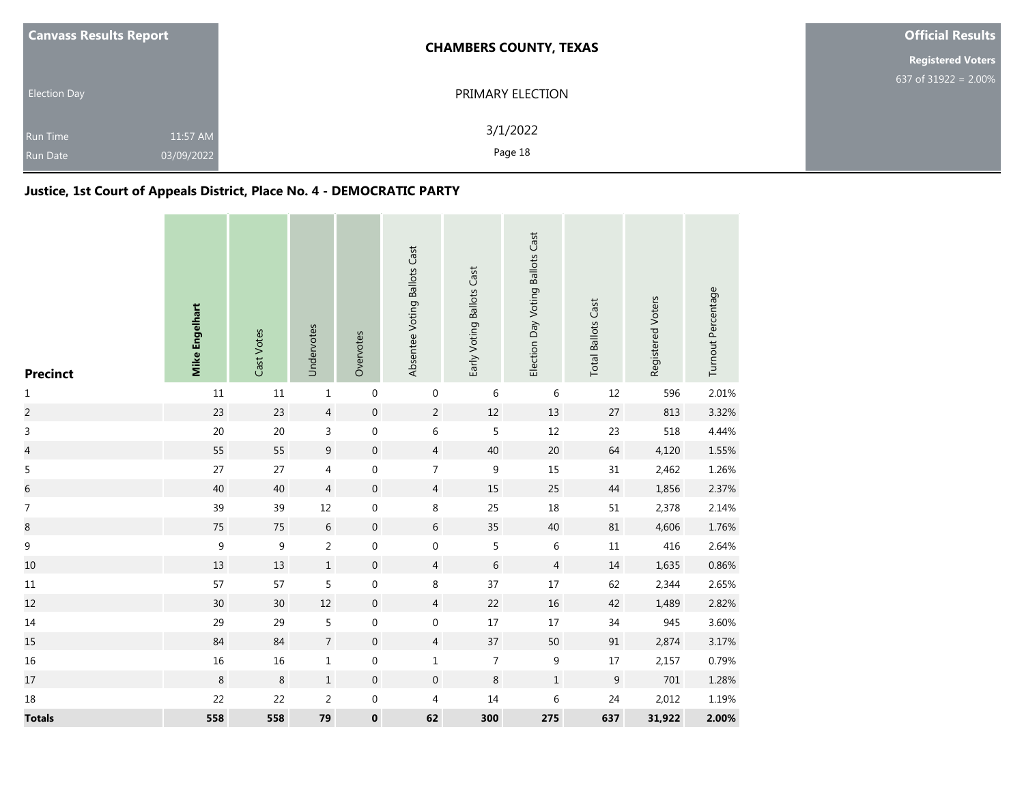| <b>Canvass Results Report</b> |                        | <b>CHAMBERS COUNTY, TEXAS</b> | <b>Official Results</b>  |
|-------------------------------|------------------------|-------------------------------|--------------------------|
|                               |                        |                               | <b>Registered Voters</b> |
| <b>Election Day</b>           |                        | PRIMARY ELECTION              | 637 of 31922 = $2.00\%$  |
| <b>Run Time</b><br>Run Date   | 11:57 AM<br>03/09/2022 | 3/1/2022<br>Page 18           |                          |

# **Justice, 1st Court of Appeals District, Place No. 4 - DEMOCRATIC PARTY**

| <b>Precinct</b>          | <b>Mike Engelhart</b> | Cast Votes | Undervotes     | Overvotes        | Absentee Voting Ballots Cast | Early Voting Ballots Cast | Election Day Voting Ballots Cast | <b>Total Ballots Cast</b> | Registered Voters | Turnout Percentage |
|--------------------------|-----------------------|------------|----------------|------------------|------------------------------|---------------------------|----------------------------------|---------------------------|-------------------|--------------------|
| $\mathbf{1}$             | 11                    | $11\,$     | $\mathbf 1$    | $\boldsymbol{0}$ | $\boldsymbol{0}$             | $\,$ 6 $\,$               | 6                                | 12                        | 596               | 2.01%              |
| $\overline{c}$           | 23                    | 23         | $\overline{4}$ | $\,0\,$          | $\overline{2}$               | $12\,$                    | 13                               | 27                        | 813               | 3.32%              |
| 3                        | $20\,$                | $20\,$     | 3              | $\boldsymbol{0}$ | 6                            | 5                         | $12\,$                           | 23                        | 518               | 4.44%              |
| $\overline{\mathcal{L}}$ | 55                    | 55         | 9              | $\boldsymbol{0}$ | $\overline{4}$               | 40                        | $20\,$                           | 64                        | 4,120             | 1.55%              |
| 5                        | 27                    | 27         | 4              | $\boldsymbol{0}$ | $\overline{7}$               | $\boldsymbol{9}$          | 15                               | 31                        | 2,462             | 1.26%              |
| $\,$ 6 $\,$              | 40                    | 40         | $\overline{4}$ | $\boldsymbol{0}$ | $\overline{4}$               | 15                        | 25                               | $44\,$                    | 1,856             | 2.37%              |
| $\boldsymbol{7}$         | 39                    | 39         | $12\,$         | $\boldsymbol{0}$ | $\,8\,$                      | 25                        | 18                               | 51                        | 2,378             | 2.14%              |
| $\bf 8$                  | $75\,$                | 75         | $\,$ 6 $\,$    | $\boldsymbol{0}$ | 6                            | 35                        | 40                               | 81                        | 4,606             | 1.76%              |
| $\mathsf 9$              | $\mathsf 9$           | 9          | $\overline{a}$ | $\boldsymbol{0}$ | $\mathbf 0$                  | 5                         | $\,6\,$                          | $11\,$                    | 416               | 2.64%              |
| $10\,$                   | 13                    | 13         | $\mathbf{1}$   | $\boldsymbol{0}$ | $\overline{4}$               | $\,$ 6 $\,$               | $\overline{4}$                   | 14                        | 1,635             | 0.86%              |
| $11\,$                   | 57                    | 57         | 5              | $\boldsymbol{0}$ | 8                            | 37                        | $17\,$                           | 62                        | 2,344             | 2.65%              |
| 12                       | $30\,$                | $30\,$     | $12\,$         | $\boldsymbol{0}$ | $\overline{4}$               | 22                        | $16\,$                           | 42                        | 1,489             | 2.82%              |
| 14                       | 29                    | 29         | 5              | $\boldsymbol{0}$ | $\boldsymbol{0}$             | 17                        | $17\,$                           | 34                        | 945               | 3.60%              |
| 15                       | 84                    | 84         | $\overline{7}$ | $\boldsymbol{0}$ | $\overline{4}$               | 37                        | 50                               | 91                        | 2,874             | 3.17%              |
| 16                       | $16\,$                | $16\,$     | $\mathbf{1}$   | $\boldsymbol{0}$ | $\mathbf 1$                  | $\overline{7}$            | $\boldsymbol{9}$                 | $17\,$                    | 2,157             | 0.79%              |
| 17                       | $\,8\,$               | $\,8\,$    | $\,1\,$        | $\boldsymbol{0}$ | $\boldsymbol{0}$             | $\,8\,$                   | $\,1$                            | $\boldsymbol{9}$          | 701               | 1.28%              |
| $18\,$                   | 22                    | 22         | $\overline{2}$ | 0                | 4                            | $14\,$                    | 6                                | 24                        | 2,012             | 1.19%              |
| <b>Totals</b>            | 558                   | 558        | 79             | $\pmb{0}$        | 62                           | 300                       | 275                              | 637                       | 31,922            | 2.00%              |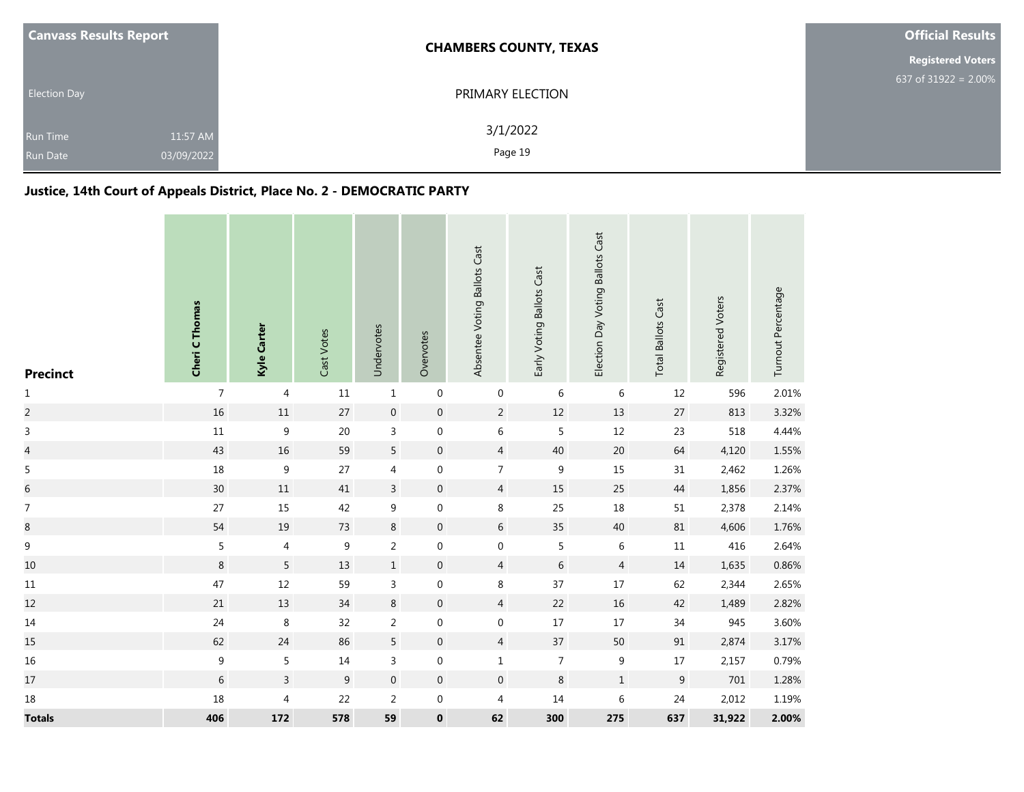| <b>Canvass Results Report</b>      |                        | <b>CHAMBERS COUNTY, TEXAS</b> | <b>Official Results</b>  |
|------------------------------------|------------------------|-------------------------------|--------------------------|
|                                    |                        |                               | <b>Registered Voters</b> |
| <b>Election Day</b>                |                        | PRIMARY ELECTION              | 637 of $31922 = 2.00\%$  |
| <b>Run Time</b><br><b>Run Date</b> | 11:57 AM<br>03/09/2022 | 3/1/2022<br>Page 19           |                          |

# **Justice, 14th Court of Appeals District, Place No. 2 - DEMOCRATIC PARTY**

| <b>Precinct</b>          | Cheri C Thomas   | Kyle Carter      | Cast Votes     | Undervotes       | Overvotes        | Absentee Voting Ballots Cast | Early Voting Ballots Cast | Election Day Voting Ballots Cast | <b>Total Ballots Cast</b> | Registered Voters | Turnout Percentage |
|--------------------------|------------------|------------------|----------------|------------------|------------------|------------------------------|---------------------------|----------------------------------|---------------------------|-------------------|--------------------|
| $\mathbf 1$              | $\overline{7}$   | $\overline{4}$   | $11\,$         | $\mathbf 1$      | $\boldsymbol{0}$ | $\boldsymbol{0}$             | $\,6\,$                   | 6                                | 12                        | 596               | 2.01%              |
| $\overline{c}$           | 16               | $11\,$           | $27$           | $\boldsymbol{0}$ | $\boldsymbol{0}$ | $\overline{2}$               | $12\,$                    | 13                               | $27$                      | 813               | 3.32%              |
| $\mathsf 3$              | $11\,$           | $\boldsymbol{9}$ | $20\,$         | $\mathsf{3}$     | $\boldsymbol{0}$ | 6                            | 5                         | $12\,$                           | 23                        | 518               | 4.44%              |
| $\overline{a}$           | 43               | 16               | 59             | 5                | $\mathbf 0$      | $\overline{4}$               | 40                        | $20\,$                           | 64                        | 4,120             | 1.55%              |
| 5                        | $18\,$           | $\boldsymbol{9}$ | $27$           | 4                | 0                | $\overline{7}$               | $\boldsymbol{9}$          | $15\,$                           | 31                        | 2,462             | 1.26%              |
| $\overline{6}$           | $30\,$           | $11\,$           | 41             | $\overline{3}$   | $\boldsymbol{0}$ | $\overline{4}$               | 15                        | 25                               | $44\,$                    | 1,856             | 2.37%              |
| $\overline{\mathcal{I}}$ | $27$             | 15               | 42             | $\mathsf 9$      | $\boldsymbol{0}$ | $\,8\,$                      | 25                        | 18                               | 51                        | 2,378             | 2.14%              |
| 8                        | 54               | $19\,$           | 73             | $\,8\,$          | $\mathbf 0$      | $\sqrt{6}$                   | 35                        | $40\,$                           | 81                        | 4,606             | 1.76%              |
| $\boldsymbol{9}$         | 5                | 4                | 9              | $\overline{2}$   | 0                | $\boldsymbol{0}$             | $\sqrt{5}$                | $\,$ 6 $\,$                      | $11\,$                    | 416               | 2.64%              |
| $10\,$                   | 8                | $5\phantom{a}$   | 13             | $\mathbf 1$      | $\boldsymbol{0}$ | $\overline{4}$               | $\,$ 6 $\,$               | $\overline{4}$                   | $14\,$                    | 1,635             | 0.86%              |
| $11\,$                   | 47               | $12\,$           | 59             | $\overline{3}$   | $\boldsymbol{0}$ | $\,8\,$                      | 37                        | $17\,$                           | 62                        | 2,344             | 2.65%              |
| 12                       | $21\,$           | 13               | $34$           | $\,8\,$          | $\pmb{0}$        | $\overline{4}$               | 22                        | $16\,$                           | 42                        | 1,489             | 2.82%              |
| $14\,$                   | 24               | $\,8\,$          | 32             | $\overline{2}$   | $\boldsymbol{0}$ | $\boldsymbol{0}$             | $17\,$                    | $17\,$                           | $34\,$                    | 945               | 3.60%              |
| 15                       | 62               | 24               | 86             | 5                | $\mathbf 0$      | $\overline{4}$               | 37                        | 50                               | 91                        | 2,874             | 3.17%              |
| $16\,$                   | $\boldsymbol{9}$ | 5                | $14\,$         | $\mathsf 3$      | 0                | $\mathbf{1}$                 | $\boldsymbol{7}$          | 9                                | 17                        | 2,157             | 0.79%              |
| $17\,$                   | $6\,$            | $\overline{3}$   | $\overline{9}$ | $\boldsymbol{0}$ | $\boldsymbol{0}$ | $\mathbf 0$                  | $\,8\,$                   | $\,1$                            | $\boldsymbol{9}$          | 701               | 1.28%              |
| $18\,$                   | 18               | $\overline{4}$   | 22             | $\overline{2}$   | $\boldsymbol{0}$ | 4                            | $14\,$                    | $\,6\,$                          | 24                        | 2,012             | 1.19%              |
| <b>Totals</b>            | 406              | 172              | 578            | 59               | $\pmb{0}$        | 62                           | 300                       | 275                              | 637                       | 31,922            | 2.00%              |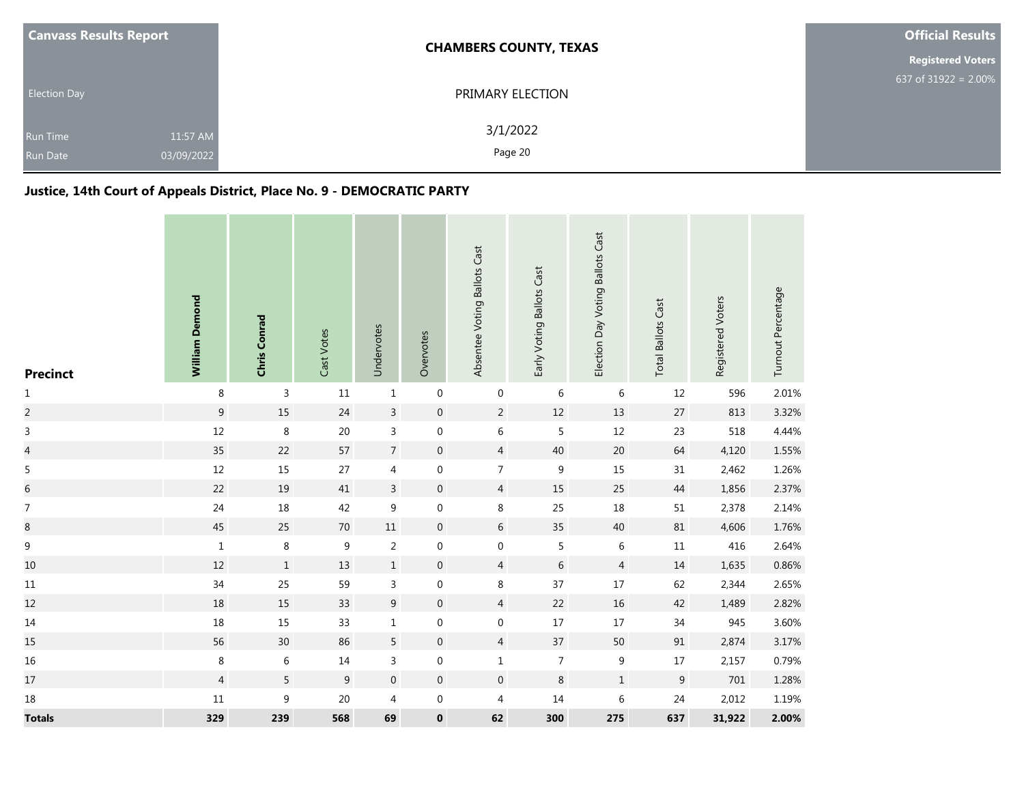| <b>Canvass Results Report</b>      |                        | <b>CHAMBERS COUNTY, TEXAS</b> | <b>Official Results</b>  |
|------------------------------------|------------------------|-------------------------------|--------------------------|
|                                    |                        |                               | <b>Registered Voters</b> |
| <b>Election Day</b>                |                        | PRIMARY ELECTION              | 637 of $31922 = 2.00\%$  |
| <b>Run Time</b><br><b>Run Date</b> | 11:57 AM<br>03/09/2022 | 3/1/2022<br>Page 20           |                          |

# **Justice, 14th Court of Appeals District, Place No. 9 - DEMOCRATIC PARTY**

| <b>Precinct</b>          | William Demond   | Chris Conrad     | Cast Votes     | Undervotes       | Overvotes        | Absentee Voting Ballots Cast | Early Voting Ballots Cast | Election Day Voting Ballots Cast | <b>Total Ballots Cast</b> | Registered Voters | Turnout Percentage |
|--------------------------|------------------|------------------|----------------|------------------|------------------|------------------------------|---------------------------|----------------------------------|---------------------------|-------------------|--------------------|
| $\mathbf 1$              | $\,8\,$          | $\overline{3}$   | $11\,$         | $\mathbf 1$      | $\boldsymbol{0}$ | $\boldsymbol{0}$             | 6                         | 6                                | 12                        | 596               | 2.01%              |
| $\overline{c}$           | $\boldsymbol{9}$ | 15               | 24             | $\overline{3}$   | $\boldsymbol{0}$ | $\overline{2}$               | $12\,$                    | 13                               | 27                        | 813               | 3.32%              |
| $\mathsf 3$              | $12\,$           | $\,8\,$          | $20\,$         | $\mathsf 3$      | $\boldsymbol{0}$ | $\,$ 6 $\,$                  | 5                         | $12\,$                           | 23                        | 518               | 4.44%              |
| $\overline{a}$           | 35               | 22               | 57             | $\boldsymbol{7}$ | $\mathbf 0$      | $\overline{4}$               | $40\,$                    | 20                               | 64                        | 4,120             | 1.55%              |
| 5                        | $12\,$           | $15\,$           | 27             | 4                | 0                | $\overline{7}$               | $\boldsymbol{9}$          | $15\,$                           | 31                        | 2,462             | 1.26%              |
| $\overline{6}$           | 22               | $19\,$           | 41             | $\overline{3}$   | $\boldsymbol{0}$ | $\overline{4}$               | 15                        | 25                               | 44                        | 1,856             | 2.37%              |
| $\overline{\mathcal{I}}$ | 24               | $18\,$           | 42             | $\boldsymbol{9}$ | $\boldsymbol{0}$ | $\,8\,$                      | 25                        | $18\,$                           | 51                        | 2,378             | 2.14%              |
| 8                        | 45               | 25               | $70\,$         | $11\,$           | $\mathbf 0$      | $\,$ 6 $\,$                  | 35                        | $40\,$                           | 81                        | 4,606             | 1.76%              |
| $\boldsymbol{9}$         | $\mathbf 1$      | $\,8\,$          | 9              | $\sqrt{2}$       | 0                | $\boldsymbol{0}$             | 5                         | 6                                | $11\,$                    | 416               | 2.64%              |
| $10\,$                   | 12               | $\mathbf{1}$     | 13             | $\,1$            | $\mathbf 0$      | $\overline{4}$               | $\,$ 6 $\,$               | 4                                | $14\,$                    | 1,635             | 0.86%              |
| $11\,$                   | 34               | 25               | 59             | $\overline{3}$   | $\boldsymbol{0}$ | 8                            | 37                        | $17\,$                           | 62                        | 2,344             | 2.65%              |
| 12                       | 18               | 15               | 33             | $\boldsymbol{9}$ | $\mathbf 0$      | $\overline{4}$               | 22                        | 16                               | 42                        | 1,489             | 2.82%              |
| $14\,$                   | $18\,$           | 15               | 33             | $\mathbf 1$      | 0                | $\boldsymbol{0}$             | $17\,$                    | $17\,$                           | 34                        | 945               | 3.60%              |
| 15                       | 56               | $30\,$           | 86             | 5                | $\mathbf 0$      | $\overline{4}$               | 37                        | 50                               | $91\,$                    | 2,874             | 3.17%              |
| 16                       | $\,8\,$          | 6                | $14\,$         | $\mathsf 3$      | 0                | $\mathbf 1$                  | $\overline{7}$            | 9                                | 17                        | 2,157             | 0.79%              |
| $17\,$                   | $\overline{4}$   | 5                | $\overline{9}$ | $\boldsymbol{0}$ | $\boldsymbol{0}$ | $\boldsymbol{0}$             | $\,8\,$                   | $\mathbf 1$                      | $\mathsf 9$               | 701               | 1.28%              |
| $18\,$                   | $11\,$           | $\boldsymbol{9}$ | $20\,$         | $\overline{4}$   | 0                | 4                            | $14\,$                    | $\,$ 6 $\,$                      | 24                        | 2,012             | 1.19%              |
| <b>Totals</b>            | 329              | 239              | 568            | 69               | $\pmb{0}$        | 62                           | 300                       | 275                              | 637                       | 31,922            | 2.00%              |